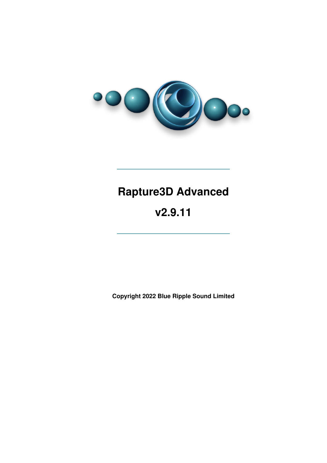

# **Rapture3D Advanced**

# **v2.9.11**

**Copyright 2022 Blue Ripple Sound Limited**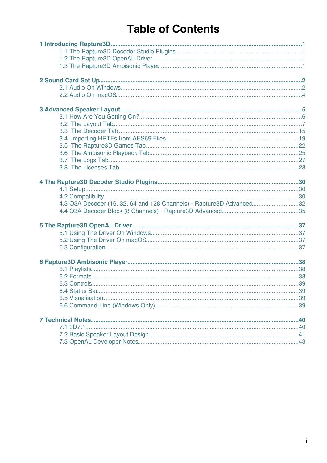# **Table of Contents**

| 4.3 O3A Decoder (16, 32, 64 and 128 Channels) - Rapture3D Advanced32 |  |
|----------------------------------------------------------------------|--|
|                                                                      |  |
|                                                                      |  |
|                                                                      |  |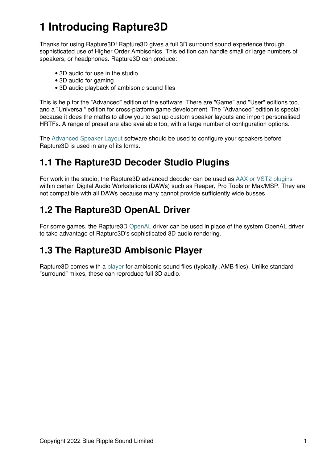# **1 Introducing Rapture3D**

Thanks for using Rapture3D! Rapture3D gives a full 3D surround sound experience through sophisticated use of Higher Order Ambisonics. This edition can handle small or large numbers of speakers, or headphones. Rapture3D can produce:

- 3D audio for use in the studio
- 3D audio for gaming
- 3D audio playback of ambisonic sound files

This is help for the "Advanced" edition of the software. There are "Game" and "User" editions too, and a "Universal" edition for cross-platform game development. The "Advanced" edition is special because it does the maths to allow you to set up custom speaker layouts and import personalised HRTFs. A range of preset are also available too, with a large number of configuration options.

The [Advanced Speaker Layout](#page-5-1) software should be used to configure your speakers before Rapture3D is used in any of its forms.

## <span id="page-2-0"></span>**1.1 The Rapture3D Decoder Studio Plugins**

For work in the studio, the Rapture3D advanced decoder can be used as [AAX or VST2 plugins](#page-33-0) within certain Digital Audio Workstations (DAWs) such as Reaper, Pro Tools or Max/MSP. They are not compatible with all DAWs because many cannot provide sufficiently wide busses.

# <span id="page-2-1"></span>**1.2 The Rapture3D OpenAL Driver**

For some games, the Rapture3D [OpenAL](#page-37-0) driver can be used in place of the system OpenAL driver to take advantage of Rapture3D's sophisticated 3D audio rendering.

## <span id="page-2-2"></span>**1.3 The Rapture3D Ambisonic Player**

<span id="page-2-3"></span>Rapture3D comes with a [player](#page-38-3) for ambisonic sound files (typically .AMB files). Unlike standard "surround" mixes, these can reproduce full 3D audio.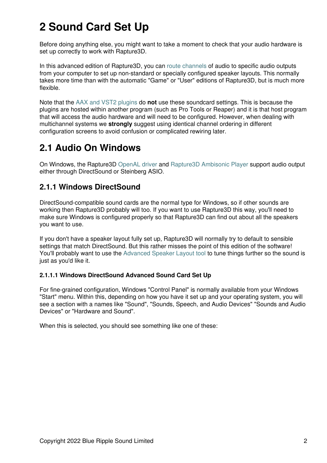# **2 Sound Card Set Up**

Before doing anything else, you might want to take a moment to check that your audio hardware is set up correctly to work with Rapture3D.

In this advanced edition of Rapture3D, you can [route channels](#page-8-0) of audio to specific audio outputs from your computer to set up non-standard or specially configured speaker layouts. This normally takes more time than with the automatic "Game" or "User" editions of Rapture3D, but is much more flexible.

Note that the [AAX and VST2 plugins](#page-30-0) do **not** use these soundcard settings. This is because the plugins are hosted within another program (such as Pro Tools or Reaper) and it is that host program that will access the audio hardware and will need to be configured. However, when dealing with multichannel systems we **strongly** suggest using identical channel ordering in different configuration screens to avoid confusion or complicated rewiring later.

## <span id="page-3-0"></span>**2.1 Audio On Windows**

On Windows, the Rapture3D [OpenAL driver](#page-37-0) and [Rapture3D Ambisonic Player](#page-38-3) support audio output either through DirectSound or Steinberg ASIO.

### **2.1.1 Windows DirectSound**

DirectSound-compatible sound cards are the normal type for Windows, so if other sounds are working then Rapture3D probably will too. If you want to use Rapture3D this way, you'll need to make sure Windows is configured properly so that Rapture3D can find out about all the speakers you want to use.

If you don't have a speaker layout fully set up, Rapture3D will normally try to default to sensible settings that match DirectSound. But this rather misses the point of this edition of the software! You'll probably want to use the [Advanced Speaker Layout tool](#page-5-1) to tune things further so the sound is just as you'd like it.

### **2.1.1.1 Windows DirectSound Advanced Sound Card Set Up**

For fine-grained configuration, Windows "Control Panel" is normally available from your Windows "Start" menu. Within this, depending on how you have it set up and your operating system, you will see a section with a names like "Sound", "Sounds, Speech, and Audio Devices" "Sounds and Audio Devices" or "Hardware and Sound".

When this is selected, you should see something like one of these: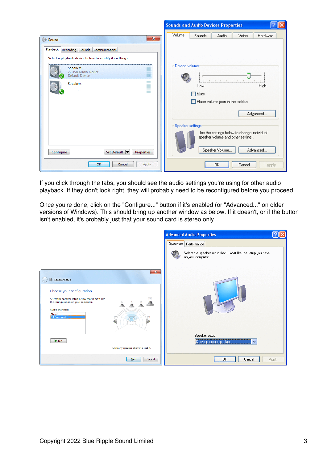|                                                                             | ?<br><b>Sounds and Audio Devices Properties</b><br>∥XI                                                                              |
|-----------------------------------------------------------------------------|-------------------------------------------------------------------------------------------------------------------------------------|
| $\mathbf{x}$<br>Sound<br>Playback<br>Recording Sounds Communications        | Volume<br>Sounds<br>Voice<br><b>Audio</b><br>Hardware                                                                               |
| Select a playback device below to modify its settings:                      |                                                                                                                                     |
| <b>Speakers</b><br>2- USB Audio Device<br>Default Device<br><b>Speakers</b> | Device volume<br><b>High</b><br>Low<br>Mute<br>Place volume jcon in the taskbar<br>Advanced                                         |
| Set Default ▼<br>Configure<br><b>Properties</b>                             | Speaker settings<br>Use the settings below to change individual<br>speaker volume and other settings.<br>Speaker Volume<br>Advanced |
| OK<br>Cancel<br>Apply                                                       | 0K<br>Cancel<br><b>Apply</b>                                                                                                        |

If you click through the tabs, you should see the audio settings you're using for other audio playback. If they don't look right, they will probably need to be reconfigured before you proceed.

Once you're done, click on the "Configure..." button if it's enabled (or "Advanced..." on older versions of Windows). This should bring up another window as below. If it doesn't, or if the button isn't enabled, it's probably just that your sound card is stereo only.

|                                                                                                                                                                                                                               | <b>Advanced Audio Properties</b>                                                   |              |
|-------------------------------------------------------------------------------------------------------------------------------------------------------------------------------------------------------------------------------|------------------------------------------------------------------------------------|--------------|
|                                                                                                                                                                                                                               | Speakers  <br>Performance                                                          |              |
|                                                                                                                                                                                                                               | Select the speaker setup that is most like the setup you have<br>on your computer. |              |
| $\mathbf{x}$<br>Speaker Setup<br>Choose your configuration<br>Select the speaker setup below that is most like<br>Sub<br>the configuration on your computer.<br>Audio channels:<br><b>Stereo</b><br>5.1 Surround<br><b>SR</b> |                                                                                    |              |
| $F$                                                                                                                                                                                                                           | Speaker setup:<br>Desktop stereo speakers<br>$\checkmark$                          |              |
| Click any speaker above to test it.                                                                                                                                                                                           |                                                                                    |              |
| Cancel<br>Next                                                                                                                                                                                                                | <b>OK</b><br>Cancel                                                                | <b>Apply</b> |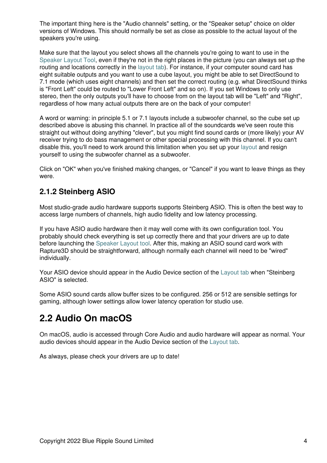The important thing here is the "Audio channels" setting, or the "Speaker setup" choice on older versions of Windows. This should normally be set as close as possible to the actual layout of the speakers you're using.

Make sure that the layout you select shows all the channels you're going to want to use in the [Speaker Layout Tool,](#page-5-1) even if they're not in the right places in the picture (you can always set up the routing and locations correctly in the [layout tab\)](#page-8-0). For instance, if your computer sound card has eight suitable outputs and you want to use a cube layout, you might be able to set DirectSound to 7.1 mode (which uses eight channels) and then set the correct routing (e.g. what DirectSound thinks is "Front Left" could be routed to "Lower Front Left" and so on). If you set Windows to only use stereo, then the only outputs you'll have to choose from on the layout tab will be "Left" and "Right", regardless of how many actual outputs there are on the back of your computer!

A word or warning: in principle 5.1 or 7.1 layouts include a subwoofer channel, so the cube set up described above is abusing this channel. In practice all of the soundcards we've seen route this straight out without doing anything "clever", but you might find sound cards or (more likely) your AV receiver trying to do bass management or other special processing with this channel. If you can't disable this, you'll need to work around this limitation when you set up your [layout](#page-8-0) and resign yourself to using the subwoofer channel as a subwoofer.

Click on "OK" when you've finished making changes, or "Cancel" if you want to leave things as they were.

## **2.1.2 Steinberg ASIO**

Most studio-grade audio hardware supports supports Steinberg ASIO. This is often the best way to access large numbers of channels, high audio fidelity and low latency processing.

If you have ASIO audio hardware then it may well come with its own configuration tool. You probably should check everything is set up correctly there and that your drivers are up to date before launching the [Speaker Layout tool.](#page-5-1) After this, making an ASIO sound card work with Rapture3D should be straightforward, although normally each channel will need to be "wired" individually.

Your ASIO device should appear in the Audio Device section of the [Layout tab](#page-11-0) when "Steinberg ASIO" is selected.

Some ASIO sound cards allow buffer sizes to be configured. 256 or 512 are sensible settings for gaming, although lower settings allow lower latency operation for studio use.

## <span id="page-5-0"></span>**2.2 Audio On macOS**

On macOS, audio is accessed through Core Audio and audio hardware will appear as normal. Your audio devices should appear in the Audio Device section of the [Layout tab.](#page-11-0)

<span id="page-5-1"></span>As always, please check your drivers are up to date!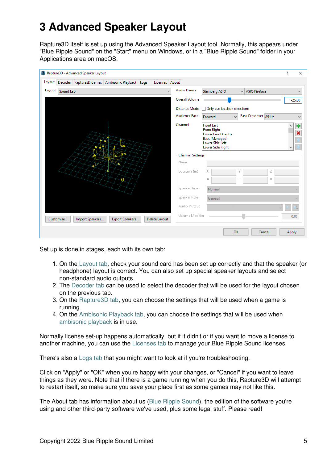# **3 Advanced Speaker Layout**

Rapture3D itself is set up using the Advanced Speaker Layout tool. Normally, this appears under "Blue Ripple Sound" on the "Start" menu on Windows, or in a "Blue Ripple Sound" folder in your Applications area on macOS.

|        |           | Rapture3D - Advanced Speaker Layout |                                                        |                |                         |                                                                                                                                      |                      |   | ?     | $\times$     |
|--------|-----------|-------------------------------------|--------------------------------------------------------|----------------|-------------------------|--------------------------------------------------------------------------------------------------------------------------------------|----------------------|---|-------|--------------|
|        |           |                                     | Layout Decoder Rapture3D Games Ambisonic Playback Logs | Licenses About |                         |                                                                                                                                      |                      |   |       |              |
| Layout | Sound Lab |                                     |                                                        | $\checkmark$   | <b>Audio Device</b>     | Steinberg ASIO                                                                                                                       | $\vee$ ASIO Fireface |   |       | $\checkmark$ |
|        |           |                                     |                                                        |                | Overall Volume          |                                                                                                                                      |                      |   |       | $-25.00$     |
|        |           |                                     |                                                        |                |                         | Distance Mode   Only use location directions                                                                                         |                      |   |       |              |
|        |           |                                     |                                                        |                | <b>Audience Face</b>    | Forward<br>$\checkmark$                                                                                                              | Bass Crossover 85 Hz |   |       | $\checkmark$ |
|        |           |                                     |                                                        |                | Channel                 | <b>Front Left</b><br><b>Front Right</b><br><b>Lower Front Centre</b><br>Bass (Managed)<br><b>Lower Side Left</b><br>Lower Side Right |                      |   |       | a.<br>÷      |
|        |           |                                     |                                                        |                | <b>Channel Settings</b> |                                                                                                                                      |                      |   |       |              |
|        |           |                                     |                                                        |                | Name                    |                                                                                                                                      |                      |   |       |              |
|        |           |                                     |                                                        |                | Location (m)            |                                                                                                                                      |                      |   |       |              |
|        |           |                                     | e                                                      |                |                         | А                                                                                                                                    | E                    | R |       |              |
|        |           |                                     |                                                        |                | Speaker Type            | Normal                                                                                                                               |                      |   |       |              |
|        |           |                                     |                                                        |                | Speaker Role            | General                                                                                                                              |                      |   |       |              |
|        |           |                                     |                                                        |                | Audio Output            |                                                                                                                                      |                      |   |       |              |
|        | Customise | Import Speakers                     | Export Speakers                                        | Delete Layout  | Volume Modifier         |                                                                                                                                      |                      |   | 0.00  |              |
|        |           |                                     |                                                        |                |                         |                                                                                                                                      | OK<br>Cancel         |   | Apply |              |

Set up is done in stages, each with its own tab:

- 1. On the [Layout tab,](#page-8-0) check your sound card has been set up correctly and that the speaker (or headphone) layout is correct. You can also set up special speaker layouts and select non-standard audio outputs.
- 2. The [Decoder tab](#page-16-0) can be used to select the decoder that will be used for the layout chosen on the previous tab.
- 3. On the [Rapture3D tab,](#page-23-0) you can choose the settings that will be used when a game is running.
- 4. On the [Ambisonic Playback tab,](#page-26-0) you can choose the settings that will be used when [ambisonic playback](#page-38-3) is in use.

Normally license set-up happens automatically, but if it didn't or if you want to move a license to another machine, you can use the [Licenses tab](#page-29-0) to manage your Blue Ripple Sound licenses.

There's also a [Logs tab](#page-28-0) that you might want to look at if you're troubleshooting.

Click on "Apply" or "OK" when you're happy with your changes, or "Cancel" if you want to leave things as they were. Note that if there is a game running when you do this, Rapture3D will attempt to restart itself, so make sure you save your place first as some games may not like this.

The About tab has information about us [\(Blue Ripple Sound](http://www.blueripplesound.com)), the edition of the software you're using and other third-party software we've used, plus some legal stuff. Please read!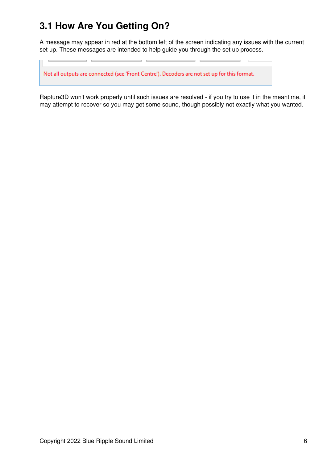# <span id="page-7-0"></span>**3.1 How Are You Getting On?**

A message may appear in red at the bottom left of the screen indicating any issues with the current set up. These messages are intended to help guide you through the set up process.

÷.

Not all outputs are connected (see 'Front Centre'). Decoders are not set up for this format.

<u> 1989 - Johann Stoff, fransk politik (d. 1989)</u>

Rapture3D won't work properly until such issues are resolved - if you try to use it in the meantime, it may attempt to recover so you may get some sound, though possibly not exactly what you wanted.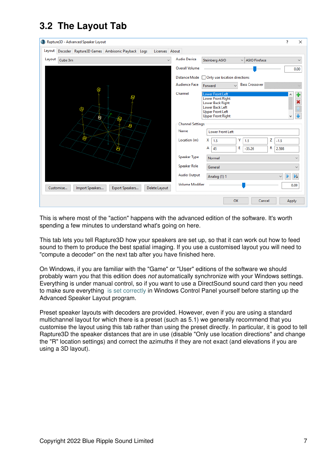# <span id="page-8-0"></span>**3.2 The Layout Tab**

|        | Rapture3D - Advanced Speaker Layout                                      |                         | ?<br>$\times$                                                          |
|--------|--------------------------------------------------------------------------|-------------------------|------------------------------------------------------------------------|
|        | Layout Decoder Rapture3D Games Ambisonic Playback Logs<br>Licenses About |                         |                                                                        |
| Layout | Cube 3m                                                                  | <b>Audio Device</b>     | Steinberg ASIO<br><b>ASIO</b> Fireface<br>$\checkmark$<br>$\checkmark$ |
|        |                                                                          | <b>Overall Volume</b>   | 0.00                                                                   |
|        |                                                                          |                         | Distance Mode   Only use location directions                           |
|        |                                                                          | <b>Audience Face</b>    | <b>Bass Crossover</b><br>Forward<br>$\ddot{\phantom{0}}$               |
|        |                                                                          | Channel                 | Lower Front Left<br>τ                                                  |
|        |                                                                          |                         | <b>Lower Front Right</b><br>Lower Back Right                           |
|        | æ,                                                                       |                         | Lower Back Left<br><b>Upper Front Left</b>                             |
|        | G                                                                        |                         | <b>Upper Front Right</b>                                               |
|        | S,                                                                       | <b>Channel Settings</b> |                                                                        |
|        |                                                                          | Name                    | <b>Lower Front Left</b>                                                |
|        | 43                                                                       | Location (m)            | z<br>Υ<br>х<br>$-1.5$<br>1.5<br>1.5                                    |
|        | Đ                                                                        |                         | R<br>А<br>E.<br>45<br>$-35.26$<br>2.598                                |
|        |                                                                          | Speaker Type            | Normal<br>$\checkmark$                                                 |
|        |                                                                          | <b>Speaker Role</b>     | General<br>$\checkmark$                                                |
|        |                                                                          | <b>Audio Output</b>     | $\mathbb{R}^1$                                                         |
|        |                                                                          |                         | Analog (1) 1                                                           |
|        | Export Speakers<br>Import Speakers<br>Delete Layout<br>Customise         | <b>Volume Modifier</b>  | 0.00                                                                   |
|        |                                                                          |                         | OK<br>Cancel<br>Apply                                                  |
|        |                                                                          |                         |                                                                        |

This is where most of the "action" happens with the advanced edition of the software. It's worth spending a few minutes to understand what's going on here.

This tab lets you tell Rapture3D how your speakers are set up, so that it can work out how to feed sound to them to produce the best spatial imaging. If you use a customised layout you will need to "compute a decoder" on the next tab after you have finished here.

On Windows, if you are familiar with the "Game" or "User" editions of the software we should probably warn you that this edition does *not* automatically synchronize with your Windows settings. Everything is under manual control, so if you want to use a DirectSound sound card then you need to make sure everything [is set correctly](#page-2-3) in Windows Control Panel yourself before starting up the Advanced Speaker Layout program.

Preset speaker layouts with decoders are provided. However, even if you are using a standard multichannel layout for which there is a preset (such as 5.1) we generally recommend that you customise the layout using this tab rather than using the preset directly. In particular, it is good to tell Rapture3D the speaker distances that are in use (disable "Only use location directions" and change the "R" location settings) and correct the azimuths if they are not exact (and elevations if you are using a 3D layout).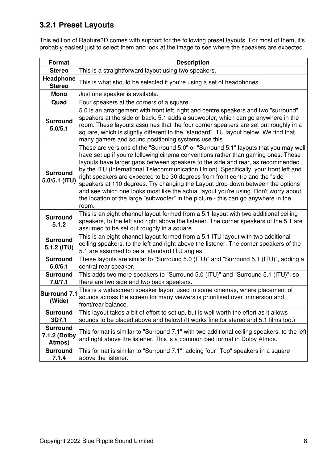## **3.2.1 Preset Layouts**

This edition of Rapture3D comes with support for the following preset layouts. For most of them, it's probably easiest just to select them and look at the image to see where the speakers are expected.

| Format                                    | <b>Description</b>                                                                                                                                                                                                                                                                                                                                                                                                                                                                                                                                                                                                                                                                                            |
|-------------------------------------------|---------------------------------------------------------------------------------------------------------------------------------------------------------------------------------------------------------------------------------------------------------------------------------------------------------------------------------------------------------------------------------------------------------------------------------------------------------------------------------------------------------------------------------------------------------------------------------------------------------------------------------------------------------------------------------------------------------------|
| <b>Stereo</b>                             | This is a straightforward layout using two speakers.                                                                                                                                                                                                                                                                                                                                                                                                                                                                                                                                                                                                                                                          |
| Headphone<br><b>Stereo</b>                | This is what should be selected if you're using a set of headphones.                                                                                                                                                                                                                                                                                                                                                                                                                                                                                                                                                                                                                                          |
| <b>Mono</b>                               | Just one speaker is available.                                                                                                                                                                                                                                                                                                                                                                                                                                                                                                                                                                                                                                                                                |
| Quad                                      | Four speakers at the corners of a square.                                                                                                                                                                                                                                                                                                                                                                                                                                                                                                                                                                                                                                                                     |
| <b>Surround</b><br>5.0/5.1                | 5.0 is an arrangement with front left, right and centre speakers and two "surround"<br>speakers at the side or back. 5.1 adds a subwoofer, which can go anywhere in the<br>room. These layouts assumes that the four corner speakers are set out roughly in a<br>square, which is slightly different to the "standard" ITU layout below. We find that<br>many gamers and sound positioning systems use this.                                                                                                                                                                                                                                                                                                  |
| <b>Surround</b><br>$5.0/5.1$ (ITU)        | These are versions of the "Surround 5.0" or "Surround 5.1" layouts that you may well<br>have set up if you're following cinema conventions rather than gaming ones. These<br>layouts have larger gaps between speakers to the side and rear, as recommended<br>by the ITU (International Telecommunication Union). Specifically, your front left and<br>right speakers are expected to be 30 degrees from front centre and the "side"<br>speakers at 110 degrees. Try changing the Layout drop-down between the options<br>and see which one looks most like the actual layout you're using. Don't worry about<br>the location of the large "subwoofer" in the picture - this can go anywhere in the<br>room. |
| <b>Surround</b><br>5.1.2                  | This is an eight-channel layout formed from a 5.1 layout with two additional ceiling<br>speakers, to the left and right above the listener. The corner speakers of the 5.1 are<br>assumed to be set out roughly in a square.                                                                                                                                                                                                                                                                                                                                                                                                                                                                                  |
| <b>Surround</b><br>5.1.2 (ITU)            | This is an eight-channel layout formed from a 5.1 ITU layout with two additional<br>ceiling speakers, to the left and right above the listener. The corner speakers of the<br>5.1 are assumed to be at standard ITU angles.                                                                                                                                                                                                                                                                                                                                                                                                                                                                                   |
| <b>Surround</b><br>6.0/6.1                | These layouts are similar to "Surround 5.0 (ITU)" and "Surround 5.1 (ITU)", adding a<br>central rear speaker.                                                                                                                                                                                                                                                                                                                                                                                                                                                                                                                                                                                                 |
| <b>Surround</b><br>7.0/7.1                | This adds two more speakers to "Surround 5.0 (ITU)" and "Surround 5.1 (ITU)", so<br>there are two side and two back speakers.                                                                                                                                                                                                                                                                                                                                                                                                                                                                                                                                                                                 |
| <b>Surround 7.1</b><br>(Wide)             | This is a widescreen speaker layout used in some cinemas, where placement of<br>sounds across the screen for many viewers is prioritised over immersion and<br>front/rear balance.                                                                                                                                                                                                                                                                                                                                                                                                                                                                                                                            |
| <b>Surround</b><br>3D7.1                  | This layout takes a bit of effort to set up, but is well worth the effort as it allows<br>sounds to be placed above and below! (It works fine for stereo and 5.1 films too.)                                                                                                                                                                                                                                                                                                                                                                                                                                                                                                                                  |
| <b>Surround</b><br>7.1.2 (Dolby<br>Atmos) | This format is similar to "Surround 7.1" with two additional ceiling speakers, to the left<br>and right above the listener. This is a common bed format in Dolby Atmos.                                                                                                                                                                                                                                                                                                                                                                                                                                                                                                                                       |
| <b>Surround</b><br>7.1.4                  | This format is similar to "Surround 7.1", adding four "Top" speakers in a square<br>above the listener.                                                                                                                                                                                                                                                                                                                                                                                                                                                                                                                                                                                                       |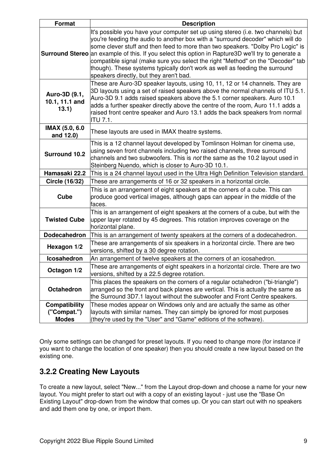| <b>Format</b>                                                                                                                                                                                                                                                          | <b>Description</b>                                                                                                                                                                                                                                                                                                                                                                                                                                                                                                                                                               |  |  |
|------------------------------------------------------------------------------------------------------------------------------------------------------------------------------------------------------------------------------------------------------------------------|----------------------------------------------------------------------------------------------------------------------------------------------------------------------------------------------------------------------------------------------------------------------------------------------------------------------------------------------------------------------------------------------------------------------------------------------------------------------------------------------------------------------------------------------------------------------------------|--|--|
|                                                                                                                                                                                                                                                                        | It's possible you have your computer set up using stereo (i.e. two channels) but<br>you're feeding the audio to another box with a "surround decoder" which will do<br>some clever stuff and then feed to more than two speakers. "Dolby Pro Logic" is<br><b>Surround Stereo</b> an example of this. If you select this option in Rapture3D we'll try to generate a<br>compatible signal (make sure you select the right "Method" on the "Decoder" tab<br>though). These systems typically don't work as well as feeding the surround<br>speakers directly, but they aren't bad. |  |  |
| Auro-3D (9.1,<br>10.1, 11.1 and<br>13.1)                                                                                                                                                                                                                               | These are Auro-3D speaker layouts, using 10, 11, 12 or 14 channels. They are<br>3D layouts using a set of raised speakers above the normal channels of ITU 5.1.<br>Auro-3D 9.1 adds raised speakers above the 5.1 corner speakers. Auro 10.1<br>adds a further speaker directly above the centre of the room, Auro 11.1 adds a<br>raised front centre speaker and Auro 13.1 adds the back speakers from normal<br><b>ITU 7.1.</b>                                                                                                                                                |  |  |
| IMAX (5.0, 6.0<br>and 12.0)                                                                                                                                                                                                                                            | These layouts are used in IMAX theatre systems.                                                                                                                                                                                                                                                                                                                                                                                                                                                                                                                                  |  |  |
| <b>Surround 10.2</b>                                                                                                                                                                                                                                                   | This is a 12 channel layout developed by Tomlinson Holman for cinema use,<br>using seven front channels including two raised channels, three surround<br>channels and two subwoofers. This is not the same as the 10.2 layout used in<br>Steinberg Nuendo, which is closer to Auro-3D 10.1.                                                                                                                                                                                                                                                                                      |  |  |
| Hamasaki 22.2                                                                                                                                                                                                                                                          | This is a 24 channel layout used in the Ultra High Definition Television standard.                                                                                                                                                                                                                                                                                                                                                                                                                                                                                               |  |  |
| <b>Circle (16/32)</b>                                                                                                                                                                                                                                                  | These are arrangements of 16 or 32 speakers in a horizontal circle.                                                                                                                                                                                                                                                                                                                                                                                                                                                                                                              |  |  |
| Cube                                                                                                                                                                                                                                                                   | This is an arrangement of eight speakers at the corners of a cube. This can<br>produce good vertical images, although gaps can appear in the middle of the<br>faces.                                                                                                                                                                                                                                                                                                                                                                                                             |  |  |
| <b>Twisted Cube</b>                                                                                                                                                                                                                                                    | This is an arrangement of eight speakers at the corners of a cube, but with the<br>upper layer rotated by 45 degrees. This rotation improves coverage on the<br>horizontal plane.                                                                                                                                                                                                                                                                                                                                                                                                |  |  |
| <b>Dodecahedron</b>                                                                                                                                                                                                                                                    | This is an arrangement of twenty speakers at the corners of a dodecahedron.                                                                                                                                                                                                                                                                                                                                                                                                                                                                                                      |  |  |
| Hexagon 1/2                                                                                                                                                                                                                                                            | These are arrangements of six speakers in a horizontal circle. There are two<br>versions, shifted by a 30 degree rotation.                                                                                                                                                                                                                                                                                                                                                                                                                                                       |  |  |
| <b>Icosahedron</b>                                                                                                                                                                                                                                                     | An arrangement of twelve speakers at the corners of an icosahedron.                                                                                                                                                                                                                                                                                                                                                                                                                                                                                                              |  |  |
| These are arrangements of eight speakers in a horizontal circle. There are two<br>Octagon 1/2<br>versions, shifted by a 22.5 degree rotation.                                                                                                                          |                                                                                                                                                                                                                                                                                                                                                                                                                                                                                                                                                                                  |  |  |
| <b>Octahedron</b>                                                                                                                                                                                                                                                      | This places the speakers on the corners of a regular octahedron ("bi-triangle")<br>arranged so the front and back planes are vertical. This is actually the same as<br>the Surround 3D7.1 layout without the subwoofer and Front Centre speakers.                                                                                                                                                                                                                                                                                                                                |  |  |
| Compatibility<br>These modes appear on Windows only and are actually the same as other<br>layouts with similar names. They can simply be ignored for most purposes<br>("Compat.")<br>(they're used by the "User" and "Game" editions of the software).<br><b>Modes</b> |                                                                                                                                                                                                                                                                                                                                                                                                                                                                                                                                                                                  |  |  |

Only some settings can be changed for preset layouts. If you need to change more (for instance if you want to change the location of one speaker) then you should create a new layout based on the existing one.

### **3.2.2 Creating New Layouts**

To create a new layout, select "New..." from the Layout drop-down and choose a name for your new layout. You might prefer to start out with a copy of an existing layout - just use the "Base On Existing Layout" drop-down from the window that comes up. Or you can start out with no speakers and add them one by one, or import them.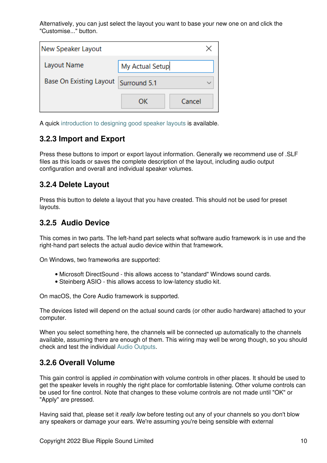Alternatively, you can just select the layout you want to base your new one on and click the "Customise..." button.

| New Speaker Layout             |                 |        |  |  |
|--------------------------------|-----------------|--------|--|--|
| Layout Name                    | My Actual Setup |        |  |  |
| <b>Base On Existing Layout</b> | Surround 5.1    |        |  |  |
|                                | OΚ              | Cancel |  |  |

A quick [introduction to designing good speaker layouts](#page-42-0) is available.

### **3.2.3 Import and Export**

Press these buttons to import or export layout information. Generally we recommend use of .SLF files as this loads or saves the complete description of the layout, including audio output configuration and overall and individual speaker volumes.

### **3.2.4 Delete Layout**

Press this button to delete a layout that you have created. This should not be used for preset layouts.

### <span id="page-11-0"></span>**3.2.5 Audio Device**

This comes in two parts. The left-hand part selects what software audio framework is in use and the right-hand part selects the actual audio device within that framework.

On Windows, two frameworks are supported:

- Microsoft DirectSound this allows access to "standard" Windows sound cards.
- Steinberg ASIO this allows access to low-latency studio kit.

On macOS, the Core Audio framework is supported.

The devices listed will depend on the actual sound cards (or other audio hardware) attached to your computer.

When you select something here, the channels will be connected up automatically to the channels available, assuming there are enough of them. This wiring may well be wrong though, so you should check and test the individual [Audio Outputs.](#page-14-0)

### **3.2.6 Overall Volume**

This gain control is applied *in combination* with volume controls in other places. It should be used to get the speaker levels in roughly the right place for comfortable listening. Other volume controls can be used for fine control. Note that changes to these volume controls are not made until "OK" or "Apply" are pressed.

Having said that, please set it *really low* before testing out any of your channels so you don't blow any speakers or damage your ears. We're assuming you're being sensible with external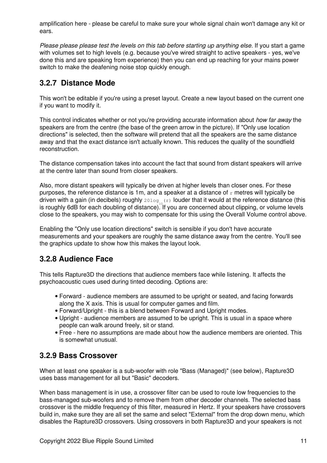amplification here - please be careful to make sure your whole signal chain won't damage any kit or ears.

*Please please please test the levels on this tab before starting up anything else.* If you start a game with volumes set to high levels (e.g. because you've wired straight to active speakers - yes, we've done this and are speaking from experience) then you can end up reaching for your mains power switch to make the deafening noise stop quickly enough.

### <span id="page-12-0"></span>**3.2.7 Distance Mode**

This won't be editable if you're using a preset layout. Create a new layout based on the current one if you want to modify it.

This control indicates whether or not you're providing accurate information about *how far away* the speakers are from the centre (the base of the green arrow in the picture). If "Only use location directions" is selected, then the software will pretend that all the speakers are the same distance away and that the exact distance isn't actually known. This reduces the quality of the soundfield reconstruction.

The distance compensation takes into account the fact that sound from distant speakers will arrive at the centre later than sound from closer speakers.

Also, more distant speakers will typically be driven at higher levels than closer ones. For these purposes, the reference distance is 1m, and a speaker at a distance of  $r$  metres will typically be driven with a gain (in decibels) roughly  $2010g_{10}(r)$  louder that it would at the reference distance (this is roughly 6dB for each doubling of distance). If you are concerned about clipping, or volume levels close to the speakers, you may wish to compensate for this using the Overall Volume control above.

Enabling the "Only use location directions" switch is sensible if you don't have accurate measurements and your speakers are roughly the same distance away from the centre. You'll see the graphics update to show how this makes the layout look.

### **3.2.8 Audience Face**

This tells Rapture3D the directions that audience members face while listening. It affects the psychoacoustic cues used during tinted decoding. Options are:

- Forward audience members are assumed to be upright or seated, and facing forwards along the X axis. This is usual for computer games and film.
- Forward/Upright this is a blend between Forward and Upright modes.
- Upright audience members are assumed to be upright. This is usual in a space where people can walk around freely, sit or stand.
- Free here no assumptions are made about how the audience members are oriented. This is somewhat unusual.

## **3.2.9 Bass Crossover**

When at least one speaker is a sub-woofer with role "Bass (Managed)" (see below), Rapture3D uses bass management for all but "Basic" decoders.

When bass management is in use, a crossover filter can be used to route low frequencies to the bass-managed sub-woofers and to remove them from other decoder channels. The selected bass crossover is the middle frequency of this filter, measured in Hertz. If your speakers have crossovers build in, make sure they are all set the same and select "External" from the drop down menu, which disables the Rapture3D crossovers. Using crossovers in both Rapture3D and your speakers is not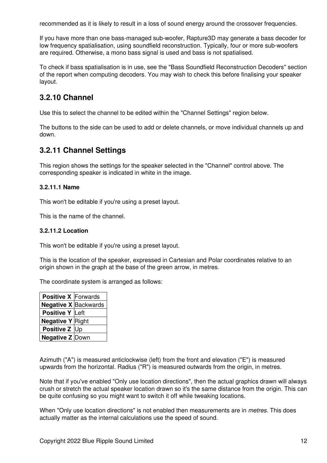recommended as it is likely to result in a loss of sound energy around the crossover frequencies.

If you have more than one bass-managed sub-woofer, Rapture3D may generate a bass decoder for low frequency spatialisation, using soundfield reconstruction. Typically, four or more sub-woofers are required. Otherwise, a mono bass signal is used and bass is not spatialised.

To check if bass spatialisation is in use, see the "Bass Soundfield Reconstruction Decoders" section of the report when computing decoders. You may wish to check this before finalising your speaker layout.

### **3.2.10 Channel**

Use this to select the channel to be edited within the "Channel Settings" region below.

The buttons to the side can be used to add or delete channels, or move individual channels up and down.

### **3.2.11 Channel Settings**

This region shows the settings for the speaker selected in the "Channel" control above. The corresponding speaker is indicated in white in the image.

#### **3.2.11.1 Name**

This won't be editable if you're using a preset layout.

This is the name of the channel.

#### **3.2.11.2 Location**

This won't be editable if you're using a preset layout.

This is the location of the speaker, expressed in Cartesian and Polar coordinates relative to an origin shown in the graph at the base of the green arrow, in metres.

The coordinate system is arranged as follows:

| Positive X Forwards         |  |
|-----------------------------|--|
| <b>Negative X Backwards</b> |  |
| Positive Y Left             |  |
| <b>Negative Y Right</b>     |  |
| Positive Z Up               |  |
| <b>Negative Z Down</b>      |  |

Azimuth ("A") is measured anticlockwise (left) from the front and elevation ("E") is measured upwards from the horizontal. Radius ("R") is measured outwards from the origin, in metres.

Note that if you've enabled "Only use location directions", then the actual graphics drawn will always crush or stretch the actual speaker location drawn so it's the same distance from the origin. This can be quite confusing so you might want to switch it off while tweaking locations.

When "Only use location directions" is not enabled then measurements are in *metres*. This does actually matter as the internal calculations use the speed of sound.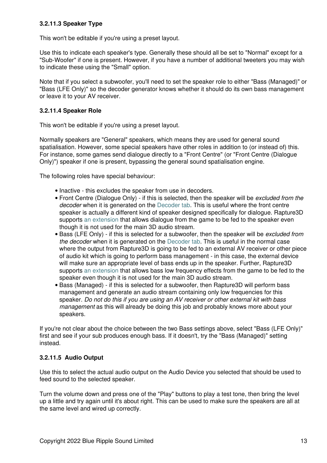### **3.2.11.3 Speaker Type**

This won't be editable if you're using a preset layout.

Use this to indicate each speaker's type. Generally these should all be set to "Normal" except for a "Sub-Woofer" if one is present. However, if you have a number of additional tweeters you may wish to indicate these using the "Small" option.

Note that if you select a subwoofer, you'll need to set the speaker role to either "Bass (Managed)" or "Bass (LFE Only)" so the decoder generator knows whether it should do its own bass management or leave it to your AV receiver.

### **3.2.11.4 Speaker Role**

This won't be editable if you're using a preset layout.

Normally speakers are "General" speakers, which means they are used for general sound spatialisation. However, some special speakers have other roles in addition to (or instead of) this. For instance, some games send dialogue directly to a "Front Centre" (or "Front Centre (Dialogue Only)") speaker if one is present, bypassing the general sound spatialisation engine.

The following roles have special behaviour:

- Inactive this excludes the speaker from use in decoders.
- Front Centre (Dialogue Only) if this is selected, then the speaker will be *excluded from the decoder* when it is generated on the [Decoder tab.](#page-16-0) This is useful where the front centre speaker is actually a different kind of speaker designed specifically for dialogue. Rapture3D supports [an extension](#page-44-0) that allows dialogue from the game to be fed to the speaker even though it is not used for the main 3D audio stream.
- Bass (LFE Only) if this is selected for a subwoofer, then the speaker will be *excluded from the decoder* when it is generated on the [Decoder tab](#page-16-0). This is useful in the normal case where the output from Rapture3D is going to be fed to an external AV receiver or other piece of audio kit which is going to perform bass management - in this case, the external device will make sure an appropriate level of bass ends up in the speaker. Further, Rapture3D supports [an extension](#page-44-0) that allows bass low frequency effects from the game to be fed to the speaker even though it is not used for the main 3D audio stream.
- Bass (Managed) if this is selected for a subwoofer, then Rapture3D will perform bass management and generate an audio stream containing only low frequencies for this speaker. *Do not do this if you are using an AV receiver or other external kit with bass management* as this will already be doing this job and probably knows more about your speakers.

If you're not clear about the choice between the two Bass settings above, select "Bass (LFE Only)" first and see if your sub produces enough bass. If it doesn't, try the "Bass (Managed)" setting instead.

### <span id="page-14-0"></span>**3.2.11.5 Audio Output**

Use this to select the actual audio output on the Audio Device you selected that should be used to feed sound to the selected speaker.

Turn the volume down and press one of the "Play" buttons to play a test tone, then bring the level up a little and try again until it's about right. This can be used to make sure the speakers are all at the same level and wired up correctly.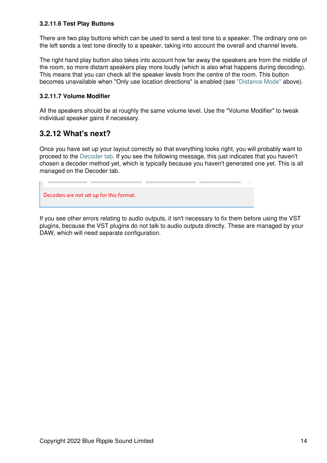### **3.2.11.6 Test Play Buttons**

There are two play buttons which can be used to send a test tone to a speaker. The ordinary one on the left sends a test tone directly to a speaker, taking into account the overall and channel levels.

The right hand play button also takes into account how far away the speakers are from the middle of the room, so more distant speakers play more loudly (which is also what happens during decoding). This means that you can check all the speaker levels from the centre of the room. This button becomes unavailable when "Only use location directions" is enabled (see ["Distance Mode"](#page-12-0) above).

### **3.2.11.7 Volume Modifier**

All the speakers should be at roughly the same volume level. Use the "Volume Modifier" to tweak individual speaker gains if necessary.

### **3.2.12 What's next?**

Once you have set up your layout correctly so that everything looks right, you will probably want to proceed to the [Decoder tab](#page-16-0). If you see the following message, this just indicates that you haven't chosen a decoder method yet, which is typically because you haven't generated one yet. This is all managed on the Decoder tab.

the control of the control of

Decoders are not set up for this format.

If you see other errors relating to audio outputs, it isn't necessary to fix them before using the VST plugins, because the VST plugins do not talk to audio outputs directly. These are managed by your DAW, which will need separate configuration.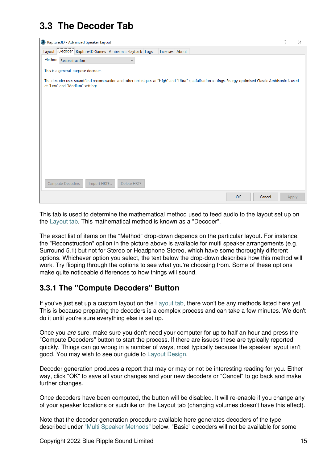# <span id="page-16-0"></span>**3.3 The Decoder Tab**

| Rapture3D - Advanced Speaker Layout                                                                                                                                                          |                |  |           |        | ?     | $\times$ |
|----------------------------------------------------------------------------------------------------------------------------------------------------------------------------------------------|----------------|--|-----------|--------|-------|----------|
| Layout   Decoder   Rapture3D Games   Ambisonic Playback   Logs                                                                                                                               | Licenses About |  |           |        |       |          |
| Method Reconstruction<br>$\checkmark$                                                                                                                                                        |                |  |           |        |       |          |
| This is a general-purpose decoder.                                                                                                                                                           |                |  |           |        |       |          |
| The decoder uses soundfield reconstruction and other techniques at "High" and "Ultra" spatialisation settings. Energy-optimised Classic Ambisonic is used<br>at "Low" and "Medium" settings. |                |  |           |        |       |          |
|                                                                                                                                                                                              |                |  |           |        |       |          |
|                                                                                                                                                                                              |                |  |           |        |       |          |
|                                                                                                                                                                                              |                |  |           |        |       |          |
|                                                                                                                                                                                              |                |  |           |        |       |          |
|                                                                                                                                                                                              |                |  |           |        |       |          |
|                                                                                                                                                                                              |                |  |           |        |       |          |
|                                                                                                                                                                                              |                |  |           |        |       |          |
|                                                                                                                                                                                              |                |  |           |        |       |          |
| Delete HRTF<br>Compute Decoders<br>Import HRTF                                                                                                                                               |                |  |           |        |       |          |
|                                                                                                                                                                                              |                |  | <b>OK</b> | Cancel | Apply |          |

This tab is used to determine the mathematical method used to feed audio to the layout set up on the [Layout tab.](#page-8-0) This mathematical method is known as a "Decoder".

The exact list of items on the "Method" drop-down depends on the particular layout. For instance, the "Reconstruction" option in the picture above is available for multi speaker arrangements (e.g. Surround 5.1) but not for Stereo or Headphone Stereo, which have some thoroughly different options. Whichever option you select, the text below the drop-down describes how this method will work. Try flipping through the options to see what you're choosing from. Some of these options make quite noticeable differences to how things will sound.

## **3.3.1 The "Compute Decoders" Button**

If you've just set up a custom layout on the [Layout tab,](#page-8-0) there won't be any methods listed here yet. This is because preparing the decoders is a complex process and can take a few minutes. We don't do it until you're sure everything else is set up.

Once you *are* sure, make sure you don't need your computer for up to half an hour and press the "Compute Decoders" button to start the process. If there are issues these are typically reported quickly. Things can go wrong in a number of ways, most typically because the speaker layout isn't good. You may wish to see our guide to [Layout Design.](#page-42-0)

Decoder generation produces a report that may or may or not be interesting reading for you. Either way, click "OK" to save all your changes and your new decoders or "Cancel" to go back and make further changes.

Once decoders have been computed, the button will be disabled. It will re-enable if you change any of your speaker locations or suchlike on the Layout tab (changing volumes doesn't have this effect).

Note that the decoder generation procedure available here generates decoders of the type described under ["Multi Speaker Methods"](#page-18-0) below. "Basic" decoders will not be available for some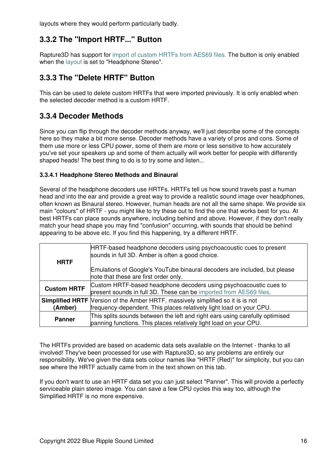layouts where they would perform particularly badly.

## **3.3.2 The "Import HRTF..." Button**

Rapture3D has support for [import of custom HRTFs from AES69 files.](#page-20-0) The button is only enabled when the [layout](#page-8-0) is set to "Headphone Stereo".

### **3.3.3 The "Delete HRTF" Button**

This can be used to delete custom HRTFs that were imported previously. It is only enabled when the selected decoder method is a custom HRTF.

### **3.3.4 Decoder Methods**

Since you can flip through the decoder methods anyway, we'll just describe some of the concepts here so they make a bit more sense. Decoder methods have a variety of pros and cons. Some of them use more or less CPU power, some of them are more or less sensitive to how accurately you've set your speakers up and some of them actually will work better for people with differently shaped heads! The best thing to do is to try some and listen...

### **3.3.4.1 Headphone Stereo Methods and Binaural**

Several of the headphone decoders use HRTFs. HRTFs tell us how sound travels past a human head and into the ear and provide a great way to provide a realistic sound image over headphones, often known as Binaural stereo. However, human heads are not all the same shape. We provide six main "colours" of HRTF - you might like to try these out to find the one that works best for you. At best HRTFs can place sounds anywhere, including behind and above. However, if they don't really match your head shape you may find "confusion" occurring, with sounds that should be behind appearing to be above etc. If you find this happening, try a different HRTF.

| <b>HRTF</b>        | HRTF-based headphone decoders using psychoacoustic cues to present<br>sounds in full 3D. Amber is often a good choice.                                        |
|--------------------|---------------------------------------------------------------------------------------------------------------------------------------------------------------|
|                    | Emulations of Google's YouTube binaural decoders are included, but please<br>note that these are first order only.                                            |
| <b>Custom HRTF</b> | Custom HRTF-based headphone decoders using psychoacoustic cues to<br>present sounds in full 3D. These can be imported from AES69 files.                       |
| (Amber)            | <b>Simplified HRTF</b> Version of the Amber HRTF, massively simplified so it is is not<br>frequency-dependent. This places relatively light load on your CPU. |
| <b>Panner</b>      | This splits sounds between the left and right ears using carefully optimised<br>panning functions. This places relatively light load on your CPU.             |

The HRTFs provided are based on academic data sets available on the Internet - thanks to all involved! They've been processed for use with Rapture3D, so any problems are entirely our responsibility. We've given the data sets colour names like "HRTF (Red)" for simplicity, but you can see where the HRTF actually came from in the text shown on this tab.

If you don't want to use an HRTF data set you can just select "Panner". This will provide a perfectly serviceable plain stereo image. You can save a few CPU cycles this way too, although the Simplified HRTF is no more expensive.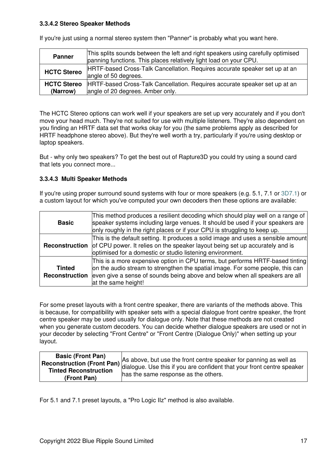### **3.3.4.2 Stereo Speaker Methods**

| <b>Panner</b>                  | This splits sounds between the left and right speakers using carefully optimised<br>panning functions. This places relatively light load on your CPU. |
|--------------------------------|-------------------------------------------------------------------------------------------------------------------------------------------------------|
| <b>HCTC Stereo</b>             | HRTF-based Cross-Talk Cancellation. Requires accurate speaker set up at an<br>angle of 50 degrees.                                                    |
| <b>HCTC Stereo</b><br>(Narrow) | HRTF-based Cross-Talk Cancellation. Requires accurate speaker set up at an<br>angle of 20 degrees. Amber only.                                        |

If you're just using a normal stereo system then "Panner" is probably what you want here.

The HCTC Stereo options can work well if your speakers are set up very accurately and if you don't move your head much. They're not suited for use with multiple listeners. They're also dependent on you finding an HRTF data set that works okay for you (the same problems apply as described for HRTF headphone stereo above). But they're well worth a try, particularly if you're using desktop or laptop speakers.

But - why only two speakers? To get the best out of Rapture3D you could try using a sound card that lets you connect more...

### <span id="page-18-0"></span>**3.3.4.3 Multi Speaker Methods**

If you're using proper surround sound systems with four or more speakers (e.g. 5.1, 7.1 or [3D7.1](#page-41-0)) or a custom layout for which you've computed your own decoders then these options are available:

| <b>Basic</b>                    | This method produces a resilient decoding which should play well on a range of<br>speaker systems including large venues. It should be used if your speakers are<br>only roughly in the right places or if your CPU is struggling to keep up.                         |
|---------------------------------|-----------------------------------------------------------------------------------------------------------------------------------------------------------------------------------------------------------------------------------------------------------------------|
| Reconstruction                  | This is the default setting. It produces a solid image and uses a sensible amount<br>of CPU power. It relies on the speaker layout being set up accurately and is<br>optimised for a domestic or studio listening environment.                                        |
| <b>Tinted</b><br>Reconstruction | This is a more expensive option in CPU terms, but performs HRTF-based tinting<br>on the audio stream to strengthen the spatial image. For some people, this can<br>even give a sense of sounds being above and below when all speakers are all<br>at the same height! |

For some preset layouts with a front centre speaker, there are variants of the methods above. This is because, for compatibility with speaker sets with a special dialogue front centre speaker, the front centre speaker may be used usually for dialogue only. Note that these methods are not created when you generate custom decoders. You can decide whether dialogue speakers are used or not in your decoder by selecting "Front Centre" or "Front Centre (Dialogue Only)" when setting up your layout.

| <b>Basic (Front Pan)</b> |                                                                   |
|--------------------------|-------------------------------------------------------------------|
|                          | As above, but use the front centre speaker for panning as well as |
| (Front Pan)              | has the same response as the others.                              |

For 5.1 and 7.1 preset layouts, a "Pro Logic IIz" method is also available.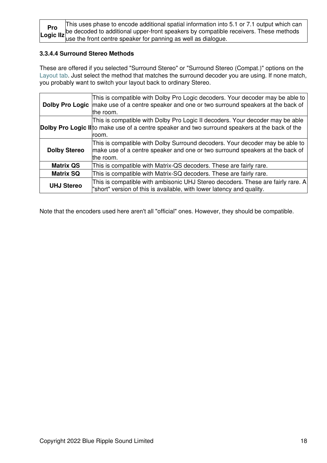| Pro | This uses phase to encode additional spatial information into 5.1 or 7.1 output which can                                                                               |
|-----|-------------------------------------------------------------------------------------------------------------------------------------------------------------------------|
|     | <b>Pro</b> be decoded to additional upper-front speakers by compatible receivers. These methods Logic IIz use the front centre speaker for panning as well as dialogue. |
|     |                                                                                                                                                                         |

### **3.3.4.4 Surround Stereo Methods**

These are offered if you selected "Surround Stereo" or "Surround Stereo (Compat.)" options on the [Layout tab](#page-8-0). Just select the method that matches the surround decoder you are using. If none match, you probably want to switch your layout back to ordinary Stereo.

|                     | This is compatible with Dolby Pro Logic decoders. Your decoder may be able to<br>Dolby Pro Logic   make use of a centre speaker and one or two surround speakers at the back of<br>the room. |
|---------------------|----------------------------------------------------------------------------------------------------------------------------------------------------------------------------------------------|
|                     | This is compatible with Dolby Pro Logic II decoders. Your decoder may be able<br>Dolby Pro Logic II to make use of a centre speaker and two surround speakers at the back of the<br>room.    |
| <b>Dolby Stereo</b> | This is compatible with Dolby Surround decoders. Your decoder may be able to<br>make use of a centre speaker and one or two surround speakers at the back of<br>the room.                    |
| <b>Matrix QS</b>    | This is compatible with Matrix-QS decoders. These are fairly rare.                                                                                                                           |
| <b>Matrix SQ</b>    | This is compatible with Matrix-SQ decoders. These are fairly rare.                                                                                                                           |
| <b>UHJ Stereo</b>   | This is compatible with ambisonic UHJ Stereo decoders. These are fairly rare. A<br>"short" version of this is available, with lower latency and quality.                                     |

Note that the encoders used here aren't all "official" ones. However, they should be compatible.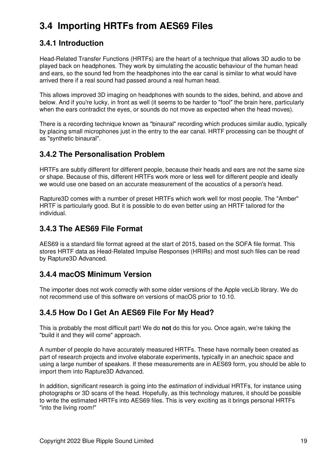# <span id="page-20-0"></span>**3.4 Importing HRTFs from AES69 Files**

## **3.4.1 Introduction**

Head-Related Transfer Functions (HRTFs) are the heart of a technique that allows 3D audio to be played back on headphones. They work by simulating the acoustic behaviour of the human head and ears, so the sound fed from the headphones into the ear canal is similar to what would have arrived there if a real sound had passed around a real human head.

This allows improved 3D imaging on headphones with sounds to the sides, behind, and above and below. And if you're lucky, in front as well (it seems to be harder to "fool" the brain here, particularly when the ears contradict the eyes, or sounds do not move as expected when the head moves).

There is a recording technique known as "binaural" recording which produces similar audio, typically by placing small microphones just in the entry to the ear canal. HRTF processing can be thought of as "synthetic binaural".

### **3.4.2 The Personalisation Problem**

HRTFs are subtly different for different people, because their heads and ears are not the same size or shape. Because of this, different HRTFs work more or less well for different people and ideally we would use one based on an accurate measurement of the acoustics of a person's head.

Rapture3D comes with a number of preset HRTFs which work well for most people. The "Amber" HRTF is particularly good. But it is possible to do even better using an HRTF tailored for the individual.

### **3.4.3 The AES69 File Format**

AES69 is a standard file format agreed at the start of 2015, based on the SOFA file format. This stores HRTF data as Head-Related Impulse Responses (HRIRs) and most such files can be read by Rapture3D Advanced.

## **3.4.4 macOS Minimum Version**

The importer does not work correctly with some older versions of the Apple vecLib library. We do not recommend use of this software on versions of macOS prior to 10.10.

### **3.4.5 How Do I Get An AES69 File For My Head?**

This is probably the most difficult part! We do **not** do this for you. Once again, we're taking the "build it and they will come" approach.

A number of people do have accurately measured HRTFs. These have normally been created as part of research projects and involve elaborate experiments, typically in an anechoic space and using a large number of speakers. If these measurements are in AES69 form, you should be able to import them into Rapture3D Advanced.

In addition, significant research is going into the *estimation* of individual HRTFs, for instance using photographs or 3D scans of the head. Hopefully, as this technology matures, it should be possible to write the estimated HRTFs into AES69 files. This is very exciting as it brings personal HRTFs "into the living room!"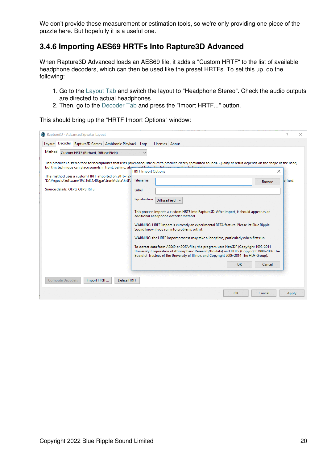We don't provide these measurement or estimation tools, so we're only providing one piece of the puzzle here. But hopefully it is a useful one.

### **3.4.6 Importing AES69 HRTFs Into Rapture3D Advanced**

When Rapture3D Advanced loads an AES69 file, it adds a "Custom HRTF" to the list of available headphone decoders, which can then be used like the preset HRTFs. To set this up, do the following:

- 1. Go to the [Layout Tab](#page-8-0) and switch the layout to "Headphone Stereo". Check the audio outputs are directed to actual headphones.
- 2. Then, go to the [Decoder Tab](#page-16-0) and press the "Import HRTF..." button.

This should bring up the "HRTF Import Options" window:

| Rapture3D - Advanced Speaker Layout                                                                                                                                                                                           |                                                                                                                                                                                                                                                                                                                                                                                                                                                                                                                                                                                                                                                                                                |                                       |
|-------------------------------------------------------------------------------------------------------------------------------------------------------------------------------------------------------------------------------|------------------------------------------------------------------------------------------------------------------------------------------------------------------------------------------------------------------------------------------------------------------------------------------------------------------------------------------------------------------------------------------------------------------------------------------------------------------------------------------------------------------------------------------------------------------------------------------------------------------------------------------------------------------------------------------------|---------------------------------------|
| Decoder Rapture3D Games Ambisonic Playback Logs<br>Layout<br>Method<br>Custom HRTF (Richard, Diffuse Field)                                                                                                                   | Licenses About<br>$\checkmark$                                                                                                                                                                                                                                                                                                                                                                                                                                                                                                                                                                                                                                                                 |                                       |
| but this technique can place sounds in front, behind, above and below the littener as well as to the sider<br>This method uses a custom HRTF imported on 2016-12-<br>'D:\Projects\Software\192.168.1.40\gas\trunk\data\hrtf\i | This produces a stereo feed for headphones that uses psychoacoustic cues to produce clearly spatialised sounds. Quality of result depends on the shape of the head,<br><b>HRTF Import Options</b><br>Filename                                                                                                                                                                                                                                                                                                                                                                                                                                                                                  | $\times$<br>e-field.<br><b>Browse</b> |
| Source details: OLPS, OLPS_RiFu                                                                                                                                                                                               | Label<br>Equalization<br>Diffuse Field V<br>This process imports a custom HRTF into Rapture3D. After import, it should appear as an<br>additional headphone decoder method.<br>WARNING: HRTF import is currently an experimental BETA feature. Please let Blue Ripple<br>Sound know if you run into problems with it.<br>WARNING: the HRTF import process may take a long time, particularly when first run.<br>To extract data from AES69 or SOFA files, the program uses NetCDF (Copyright 1993-2014<br>University Corporation of Atmospheric Research/Unidata) and HDF5 (Copyright 1998-2006 The<br>Board of Trustees of the University of Illinois and Copyright 2006-2014 The HDF Group). |                                       |
| Compute Decoders<br>Import HRTF<br><b>Delete HRTF</b>                                                                                                                                                                         | <b>OK</b>                                                                                                                                                                                                                                                                                                                                                                                                                                                                                                                                                                                                                                                                                      | Cancel                                |
|                                                                                                                                                                                                                               | OK                                                                                                                                                                                                                                                                                                                                                                                                                                                                                                                                                                                                                                                                                             | Cancel<br>Apply                       |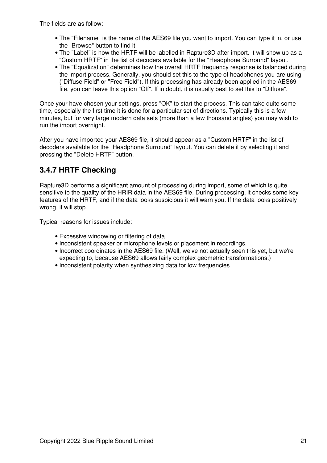The fields are as follow:

- The "Filename" is the name of the AES69 file you want to import. You can type it in, or use the "Browse" button to find it.
- The "Label" is how the HRTF will be labelled in Rapture3D after import. It will show up as a "Custom HRTF" in the list of decoders available for the "Headphone Surround" layout.
- The "Equalization" determines how the overall HRTF frequency response is balanced during the import process. Generally, you should set this to the type of headphones you are using ("Diffuse Field" or "Free Field"). If this processing has already been applied in the AES69 file, you can leave this option "Off". If in doubt, it is usually best to set this to "Diffuse".

Once your have chosen your settings, press "OK" to start the process. This can take quite some time, especially the first time it is done for a particular set of directions. Typically this is a few minutes, but for very large modern data sets (more than a few thousand angles) you may wish to run the import overnight.

After you have imported your AES69 file, it should appear as a "Custom HRTF" in the list of decoders available for the "Headphone Surround" layout. You can delete it by selecting it and pressing the "Delete HRTF" button.

## **3.4.7 HRTF Checking**

Rapture3D performs a significant amount of processing during import, some of which is quite sensitive to the quality of the HRIR data in the AES69 file. During processing, it checks some key features of the HRTF, and if the data looks suspicious it will warn you. If the data looks positively wrong, it will stop.

Typical reasons for issues include:

- Excessive windowing or filtering of data.
- Inconsistent speaker or microphone levels or placement in recordings.
- Incorrect coordinates in the AES69 file. (Well, we've not actually seen this yet, but we're expecting to, because AES69 allows fairly complex geometric transformations.)
- Inconsistent polarity when synthesizing data for low frequencies.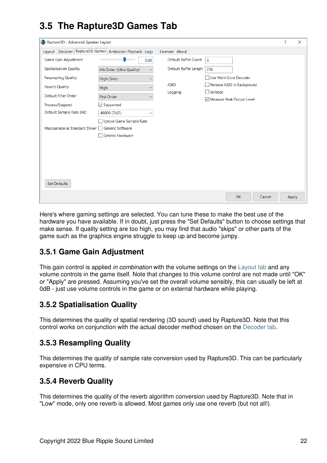# <span id="page-23-0"></span>**3.5 The Rapture3D Games Tab**

| C Rapture3D - Advanced Speaker Layout          |                                                        |                                                      | 7 | $\times$ |
|------------------------------------------------|--------------------------------------------------------|------------------------------------------------------|---|----------|
|                                                | Layout Decoder Rapture3D Games Ambisonic Playback Logs | Licenses About                                       |   |          |
| <b>Game Gain Adjustment</b>                    | 0.00                                                   | <b>Default Buffer Count</b><br>$\overline{3}$        |   |          |
| <b>Spatialisation Quality</b>                  | 4th Order (Ultra Quality)<br>$\checkmark$              | Default Buffer Length<br>256                         |   |          |
| <b>Resampling Quality</b>                      | High (Sinc)<br>$\checkmark$                            | Use Multi-Core Decoder                               |   |          |
| <b>Reverb Quality</b>                          | <b>High</b><br>$\checkmark$                            | <b>ASIO</b><br>Release ASIO in Background<br>Verbose |   |          |
| <b>Default Filter Order</b>                    | <b>First Order</b><br>$\checkmark$                     | Logging<br>Measure Peak Output Level                 |   |          |
| Process/Suspend                                | $\vee$ Supported                                       |                                                      |   |          |
| Default Sample Rate (Hz)                       | 48000 (DVD)<br>$\checkmark$                            |                                                      |   |          |
| Masquerade as Standard Driver Generic Software | Ignore Game Sample Rate<br>Generic Hardware            |                                                      |   |          |
| <b>Set Defaults</b>                            |                                                        |                                                      |   |          |
|                                                |                                                        | <b>OK</b><br>Cancel                                  |   | Apply    |

Here's where gaming settings are selected. You can tune these to make the best use of the hardware you have available. If in doubt, just press the "Set Defaults" button to choose settings that make sense. If quality setting are too high, you may find that audio "skips" or other parts of the game such as the graphics engine struggle to keep up and become jumpy.

## **3.5.1 Game Gain Adjustment**

This gain control is applied *in combination* with the volume settings on the [Layout tab](#page-8-0) and any volume controls in the game itself. Note that changes to this volume control are not made until "OK" or "Apply" are pressed. Assuming you've set the overall volume sensibly, this can usually be left at 0dB - just use volume controls in the game or on external hardware while playing.

### **3.5.2 Spatialisation Quality**

This determines the quality of spatial rendering (3D sound) used by Rapture3D. Note that this control works on conjunction with the actual decoder method chosen on the [Decoder tab.](#page-16-0)

### **3.5.3 Resampling Quality**

This determines the quality of sample rate conversion used by Rapture3D. This can be particularly expensive in CPU terms.

### **3.5.4 Reverb Quality**

This determines the quality of the reverb algorithm conversion used by Rapture3D. Note that in "Low" mode, only one reverb is allowed. Most games only use one reverb (but not all!).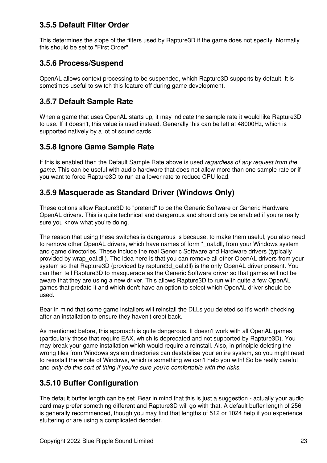## **3.5.5 Default Filter Order**

This determines the slope of the filters used by Rapture3D if the game does not specify. Normally this should be set to "First Order".

### **3.5.6 Process/Suspend**

OpenAL allows context processing to be suspended, which Rapture3D supports by default. It is sometimes useful to switch this feature off during game development.

### **3.5.7 Default Sample Rate**

When a game that uses OpenAL starts up, it may indicate the sample rate it would like Rapture3D to use. If it doesn't, this value is used instead. Generally this can be left at 48000Hz, which is supported natively by a lot of sound cards.

### **3.5.8 Ignore Game Sample Rate**

If this is enabled then the Default Sample Rate above is used *regardless of any request from the game*. This can be useful with audio hardware that does not allow more than one sample rate or if you want to force Rapture3D to run at a lower rate to reduce CPU load.

## **3.5.9 Masquerade as Standard Driver (Windows Only)**

These options allow Rapture3D to "pretend" to be the Generic Software or Generic Hardware OpenAL drivers. This is quite technical and dangerous and should only be enabled if you're really sure you know what you're doing.

The reason that using these switches is dangerous is because, to make them useful, you also need to remove other OpenAL drivers, which have names of form  $*$  oal.dll, from your Windows system and game directories. These include the real Generic Software and Hardware drivers (typically provided by wrap oal.dll). The idea here is that you can remove all other OpenAL drivers from your system so that Rapture3D (provided by rapture3d oal.dll) is the only OpenAL driver present. You can then tell Rapture3D to masquerade as the Generic Software driver so that games will not be aware that they are using a new driver. This allows Rapture3D to run with quite a few OpenAL games that predate it and which don't have an option to select which OpenAL driver should be used.

Bear in mind that some game installers will reinstall the DLLs you deleted so it's worth checking after an installation to ensure they haven't crept back.

As mentioned before, this approach is quite dangerous. It doesn't work with all OpenAL games (particularly those that require EAX, which is deprecated and not supported by Rapture3D). You may break your game installation which would require a reinstall. Also, in principle deleting the wrong files from Windows system directories can destabilise your entire system, so you might need to reinstall the whole of Windows, which is something we can't help you with! So be really careful and *only do this sort of thing if you're sure you're comfortable with the risks*.

## **3.5.10 Buffer Configuration**

The default buffer length can be set. Bear in mind that this is just a suggestion - actually your audio card may prefer something different and Rapture3D will go with that. A default buffer length of 256 is generally recommended, though you may find that lengths of 512 or 1024 help if you experience stuttering or are using a complicated decoder.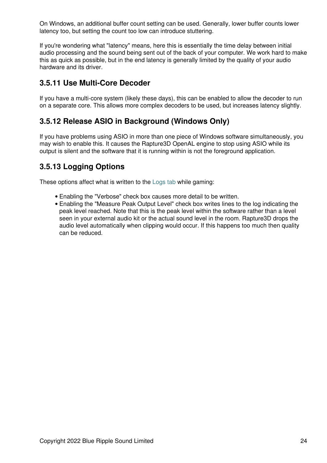On Windows, an additional buffer count setting can be used. Generally, lower buffer counts lower latency too, but setting the count too low can introduce stuttering.

If you're wondering what "latency" means, here this is essentially the time delay between initial audio processing and the sound being sent out of the back of your computer. We work hard to make this as quick as possible, but in the end latency is generally limited by the quality of your audio hardware and its driver.

### **3.5.11 Use Multi-Core Decoder**

If you have a multi-core system (likely these days), this can be enabled to allow the decoder to run on a separate core. This allows more complex decoders to be used, but increases latency slightly.

### **3.5.12 Release ASIO in Background (Windows Only)**

If you have problems using ASIO in more than one piece of Windows software simultaneously, you may wish to enable this. It causes the Rapture3D OpenAL engine to stop using ASIO while its output is silent and the software that it is running within is not the foreground application.

## **3.5.13 Logging Options**

These options affect what is written to the [Logs tab](#page-28-0) while gaming:

- Enabling the "Verbose" check box causes more detail to be written.
- Enabling the "Measure Peak Output Level" check box writes lines to the log indicating the peak level reached. Note that this is the peak level within the software rather than a level seen in your external audio kit or the actual sound level in the room. Rapture3D drops the audio level automatically when clipping would occur. If this happens too much then quality can be reduced.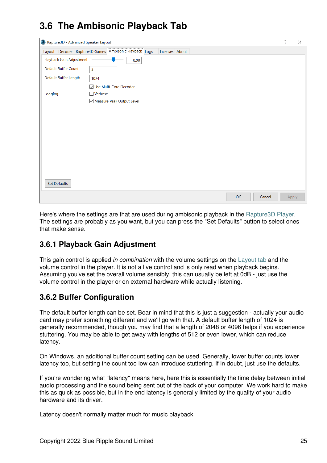# <span id="page-26-0"></span>**3.6 The Ambisonic Playback Tab**

| Rapture3D - Advanced Speaker Layout |                                                                                  | ?     | $\times$ |
|-------------------------------------|----------------------------------------------------------------------------------|-------|----------|
|                                     | Layout   Decoder   Rapture3D Games   Ambisonic Playback   Logs<br>Licenses About |       |          |
| Playback Gain Adjustment            | $\sim$<br>0.00                                                                   |       |          |
| <b>Default Buffer Count</b>         | 3                                                                                |       |          |
| Default Buffer Length               | 1024                                                                             |       |          |
|                                     | ☑ Use Multi-Core Decoder                                                         |       |          |
| Logging                             | $\Box$ Verbose                                                                   |       |          |
|                                     | Measure Peak Output Level                                                        |       |          |
|                                     |                                                                                  |       |          |
|                                     |                                                                                  |       |          |
|                                     |                                                                                  |       |          |
|                                     |                                                                                  |       |          |
|                                     |                                                                                  |       |          |
|                                     |                                                                                  |       |          |
|                                     |                                                                                  |       |          |
|                                     |                                                                                  |       |          |
|                                     |                                                                                  |       |          |
| <b>Set Defaults</b>                 |                                                                                  |       |          |
|                                     | OK<br>Cancel                                                                     | Apply |          |

Here's where the settings are that are used during ambisonic playback in the [Rapture3D Player](#page-38-3). The settings are probably as you want, but you can press the "Set Defaults" button to select ones that make sense.

## **3.6.1 Playback Gain Adjustment**

This gain control is applied *in combination* with the volume settings on the [Layout tab](#page-8-0) and the volume control in the player. It is not a live control and is only read when playback begins. Assuming you've set the overall volume sensibly, this can usually be left at 0dB - just use the volume control in the player or on external hardware while actually listening.

## **3.6.2 Buffer Configuration**

The default buffer length can be set. Bear in mind that this is just a suggestion - actually your audio card may prefer something different and we'll go with that. A default buffer length of 1024 is generally recommended, though you may find that a length of 2048 or 4096 helps if you experience stuttering. You may be able to get away with lengths of 512 or even lower, which can reduce latency.

On Windows, an additional buffer count setting can be used. Generally, lower buffer counts lower latency too, but setting the count too low can introduce stuttering. If in doubt, just use the defaults.

If you're wondering what "latency" means here, here this is essentially the time delay between initial audio processing and the sound being sent out of the back of your computer. We work hard to make this as quick as possible, but in the end latency is generally limited by the quality of your audio hardware and its driver.

Latency doesn't normally matter much for music playback.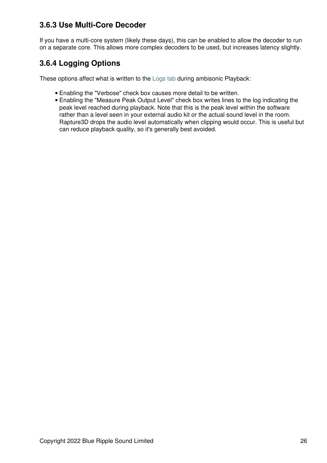## **3.6.3 Use Multi-Core Decoder**

If you have a multi-core system (likely these days), this can be enabled to allow the decoder to run on a separate core. This allows more complex decoders to be used, but increases latency slightly.

## **3.6.4 Logging Options**

These options affect what is written to the [Logs tab](#page-28-0) during ambisonic Playback:

- Enabling the "Verbose" check box causes more detail to be written.
- Enabling the "Measure Peak Output Level" check box writes lines to the log indicating the peak level reached during playback. Note that this is the peak level within the software rather than a level seen in your external audio kit or the actual sound level in the room. Rapture3D drops the audio level automatically when clipping would occur. This is useful but can reduce playback quality, so it's generally best avoided.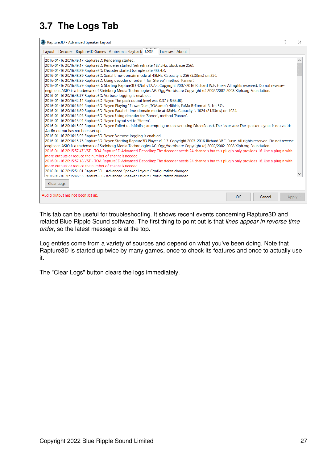# <span id="page-28-0"></span>**3.7 The Logs Tab**

| Rapture3D - Advanced Speaker Layout                                                                                                                     |                | 2                                   | $\times$ |
|---------------------------------------------------------------------------------------------------------------------------------------------------------|----------------|-------------------------------------|----------|
| Layout   Decoder   Rapture3D Games   Ambisonic Playback   Logs                                                                                          | Licenses About |                                     |          |
| 2016-01-16 20:16:49.17 Rapture3D: Rendering started.                                                                                                    |                |                                     |          |
| 2016-01-16 20:16:49.17 Rapture3D: Renderer started (refresh rate 187.5Hz, block size 256).                                                              |                |                                     |          |
| 2016-01-16 20:16:48.89 Rapture3D: Decoder started (sample rate 48kHz).                                                                                  |                |                                     |          |
| 2016-01-16 20:16:48.89 Rapture3D: Serial time-domain mode at 48kHz. Capacity is 256 (5.33ms) on 256.                                                    |                |                                     |          |
| 2016-01-16 20:16:48.89 Rapture3D: Using decoder of order 4 for 'Stereo', method 'Panner'.                                                               |                |                                     |          |
| 2016-01-16 20:16:48.79 Rapture3D: Starting Rapture3D 32bit v12.7.3. Copyright 2007-2016 Richard W.E. Furse. All rights reserved. Do not reverse-        |                |                                     |          |
| engineer. ASIO is a trademark of Steinberg Media Technologies AG. Ogg/Vorbis are Copyright (c) 2002/2002-2008 Xiph.org Foundation.                      |                |                                     |          |
| 2016-01-16 20:16:48.77 Rapture3D: Verbose logging is enabled.                                                                                           |                |                                     |          |
| 2016-01-16 20:16:42.14 Rapture3D Player: The peak output level was 0.37 (-8.65dB).                                                                      |                |                                     |          |
| 2016-01-16 20:16:16.94 Rapture3D Player: Playing "FlowerDuet_TOA.amb": 48kHz, FuMa B-Format 3, 1m 57s.                                                  |                |                                     |          |
| 2016-01-16 20:16:16.69 Rapture3D Player: Parallel time-domain mode at 48kHz. Capacity is 1024 (21.33ms) on 1024.                                        |                |                                     |          |
| 2016-01-16 20:16:15.95 Rapture3D Player: Using decoder for 'Stereo', method 'Panner'.                                                                   |                |                                     |          |
| 2016-01-16 20:16:15.94 Rapture3D Player: Layout set to 'Stereo'.                                                                                        |                |                                     |          |
| 2016-01-16 20:16:15.92 Rapture3D Player: Failed to initialise; attempting to recover using DirectSound. The issue was: The speaker layout is not valid: |                |                                     |          |
| Audio output has not been set up.                                                                                                                       |                |                                     |          |
| 2016-01-16 20:16:15.92 Rapture3D Player: Verbose logging is enabled.                                                                                    |                |                                     |          |
| 2016-01-16 20:16:15.75 Rapture3D Player: Starting Rapture3D Player v1.2.3. Copyright 2007-2016 Richard W.E. Furse. All rights reserved. Do not reverse- |                |                                     |          |
| engineer. ASIO is a trademark of Steinberg Media Technologies AG. Ogg/Vorbis are Copyright (c) 2002/2002-2008 Xiph.org Foundation.                      |                |                                     |          |
| 2016-01-16 20:15:57.47 VST - TOA Rapture3D Advanced Decoding: The decoder needs 24 channels but this plugin only provides 16. Use a plugin with         |                |                                     |          |
| more outputs or reduce the number of channels needed.                                                                                                   |                |                                     |          |
| 2016-01-16 20:15:57.18 VST - TOA Rapture3D Advanced Decoding: The decoder needs 24 channels but this plugin only provides 16. Use a plugin with         |                |                                     |          |
| more outputs or reduce the number of channels needed.                                                                                                   |                |                                     |          |
| 2016-01-16 20:15:51.01 Rapture3D - Advanced Speaker Layout: Configuration changed.                                                                      |                |                                     |          |
| 2016-01-16 20:15:46.55 Ranture3D - Advanced Speaker Lavout: Configuration changed                                                                       |                |                                     |          |
| Clear Logs                                                                                                                                              |                |                                     |          |
|                                                                                                                                                         |                |                                     |          |
| Audio output has not been set up.                                                                                                                       |                | <b>OK</b><br>Cancel<br><b>Apply</b> |          |
|                                                                                                                                                         |                |                                     |          |

This tab can be useful for troubleshooting. It shows recent events concerning Rapture3D and related Blue Ripple Sound software. The first thing to point out is that *lines appear in reverse time order*, so the latest message is at the top.

Log entries come from a variety of sources and depend on what you've been doing. Note that Rapture3D is started up twice by many games, once to check its features and once to actually use it.

The "Clear Logs" button clears the logs immediately.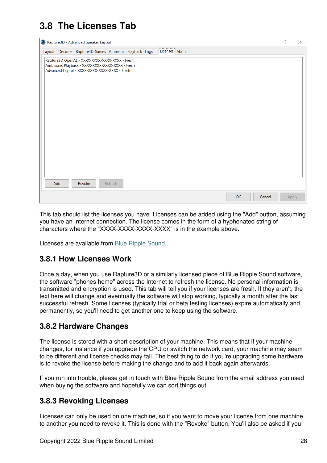# <span id="page-29-0"></span>**3.8 The Licenses Tab**

|     | Rapture3D - Advanced Speaker Layout                                                                                                                 |                                                        |                |    |        | ?     | $\times$ |
|-----|-----------------------------------------------------------------------------------------------------------------------------------------------------|--------------------------------------------------------|----------------|----|--------|-------|----------|
|     |                                                                                                                                                     | Layout Decoder Rapture3D Games Ambisonic Playback Logs | Licenses About |    |        |       |          |
|     | Rapture3D OpenAL - XXXX-XXXX-XXXX-XXXX - Fresh<br>Ambisonic Playback - XXXX-XXXX-XXXX-XXXX - Fresh<br>Advanced Layout - XXXX-XXXX-XXXX-XXXX - Fresh |                                                        |                |    |        |       |          |
| Add | Revoke                                                                                                                                              | Refresh                                                |                | OK | Cancel | Apply |          |

This tab should list the licenses you have. Licenses can be added using the "Add" button, assuming you have an Internet connection. The license comes in the form of a hyphenated string of characters where the "XXXX-XXXX-XXXX-XXXX" is in the example above.

Licenses are available from [Blue Ripple Sound](http://www.blueripplesound.com).

### **3.8.1 How Licenses Work**

Once a day, when you use Rapture3D or a similarly licensed piece of Blue Ripple Sound software, the software "phones home" across the Internet to refresh the license. No personal information is transmitted and encryption is used. This tab will tell you if your licenses are fresh. If they aren't, the text here will change and eventually the software will stop working, typically a month after the last successful refresh. Some licenses (typically trial or beta testing licenses) expire automatically and permanently, so you'll need to get another one to keep using the software.

### **3.8.2 Hardware Changes**

The license is stored with a short description of your machine. This means that if your machine changes, for instance if you upgrade the CPU or switch the network card, your machine may seem to be different and license checks may fail. The best thing to do if you're upgrading some hardware is to revoke the license before making the change and to add it back again afterwards.

If you run into trouble, please get in touch with Blue Ripple Sound from the email address you used when buying the software and hopefully we can sort things out.

### **3.8.3 Revoking Licenses**

Licenses can only be used on one machine, so if you want to move your license from one machine to another you need to revoke it. This is done with the "Revoke" button. You'll also be asked if you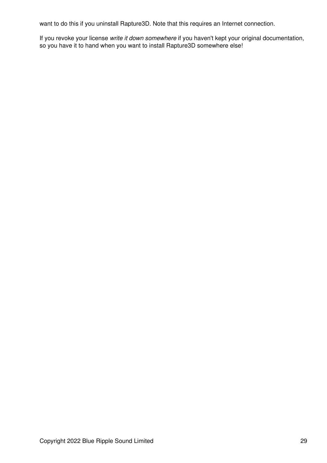want to do this if you uninstall Rapture3D. Note that this requires an Internet connection.

<span id="page-30-0"></span>If you revoke your license *write it down somewhere* if you haven't kept your original documentation, so you have it to hand when you want to install Rapture3D somewhere else!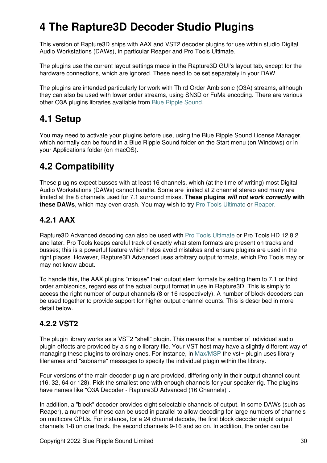# **4 The Rapture3D Decoder Studio Plugins**

This version of Rapture3D ships with AAX and VST2 decoder plugins for use within studio Digital Audio Workstations (DAWs), in particular Reaper and Pro Tools Ultimate.

The plugins use the current layout settings made in the Rapture3D GUI's layout tab, except for the hardware connections, which are ignored. These need to be set separately in your DAW.

The plugins are intended particularly for work with Third Order Ambisonic (O3A) streams, although they can also be used with lower order streams, using SN3D or FuMa encoding. There are various other O3A plugins libraries available from [Blue Ripple Sound](http://www.blueripplesound.com).

## <span id="page-31-0"></span>**4.1 Setup**

You may need to activate your plugins before use, using the Blue Ripple Sound License Manager, which normally can be found in a Blue Ripple Sound folder on the Start menu (on Windows) or in your Applications folder (on macOS).

# <span id="page-31-1"></span>**4.2 Compatibility**

These plugins expect busses with at least 16 channels, which (at the time of writing) most Digital Audio Workstations (DAWs) cannot handle. Some are limited at 2 channel stereo and many are limited at the 8 channels used for 7.1 surround mixes. **These plugins** *will not work correctly* **with these DAWs**, which may even crash. You may wish to try [Pro Tools Ultimate](https://www.avid.com/pro-tools) or [Reaper.](https://www.reaper.fm)

## **4.2.1 AAX**

Rapture3D Advanced decoding can also be used with [Pro Tools Ultimate](https://www.avid.com/pro-tools) or Pro Tools HD 12.8.2 and later. Pro Tools keeps careful track of exactly what stem formats are present on tracks and busses; this is a powerful feature which helps avoid mistakes and ensure plugins are used in the right places. However, Rapture3D Advanced uses arbitrary output formats, which Pro Tools may or may not know about.

To handle this, the AAX plugins "misuse" their output stem formats by setting them to 7.1 or third order ambisonics, regardless of the actual output format in use in Rapture3D. This is simply to access the right number of output channels (8 or 16 respectively). A number of block decoders can be used together to provide support for higher output channel counts. This is described in more detail below.

## **4.2.2 VST2**

The plugin library works as a VST2 "shell" plugin. This means that a number of individual audio plugin effects are provided by a single library file. Your VST host may have a slightly different way of managing these plugins to ordinary ones. For instance, in [Max/MSP](http://cycling74.com) the vst~ plugin uses library filenames and "subname" messages to specify the individual plugin within the library.

Four versions of the main decoder plugin are provided, differing only in their output channel count (16, 32, 64 or 128). Pick the smallest one with enough channels for your speaker rig. The plugins have names like "O3A Decoder - Rapture3D Advanced (16 Channels)".

In addition, a "block" decoder provides eight selectable channels of output. In some DAWs (such as Reaper), a number of these can be used in parallel to allow decoding for large numbers of channels on multicore CPUs. For instance, for a 24 channel decode, the first block decoder might output channels 1-8 on one track, the second channels 9-16 and so on. In addition, the order can be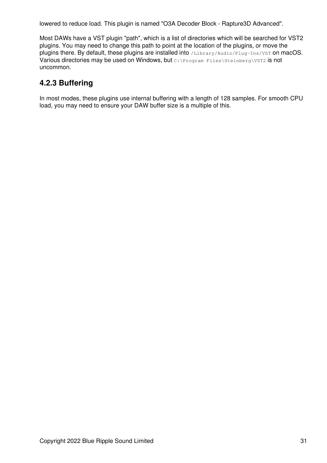lowered to reduce load. This plugin is named "O3A Decoder Block - Rapture3D Advanced".

Most DAWs have a VST plugin "path", which is a list of directories which will be searched for VST2 plugins. You may need to change this path to point at the location of the plugins, or move the plugins there. By default, these plugins are installed into /Library/Audio/Plug-Ins/VST on macOS. Various directories may be used on Windows, but c:\Program Files\Steinberg\VST2 is not uncommon.

## **4.2.3 Buffering**

In most modes, these plugins use internal buffering with a length of 128 samples. For smooth CPU load, you may need to ensure your DAW buffer size is a multiple of this.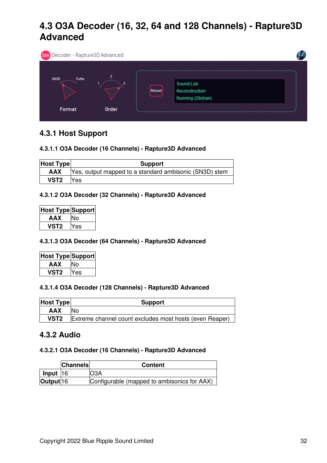## <span id="page-33-0"></span>**4.3 O3A Decoder (16, 32, 64 and 128 Channels) - Rapture3D Advanced**



### **4.3.1 Host Support**

### **4.3.1.1 O3A Decoder (16 Channels) - Rapture3D Advanced**

| <b>Host Type</b> | <b>Support</b>                                         |  |  |  |  |
|------------------|--------------------------------------------------------|--|--|--|--|
| <b>AAX</b>       | Yes, output mapped to a standard ambisonic (SN3D) stem |  |  |  |  |
| VST <sub>2</sub> | <b>Nes</b>                                             |  |  |  |  |

### **4.3.1.2 O3A Decoder (32 Channels) - Rapture3D Advanced**

| Host Type Support |     |
|-------------------|-----|
| AAX               | ง∩  |
| vST2              | Yes |

#### **4.3.1.3 O3A Decoder (64 Channels) - Rapture3D Advanced**

| <b>Host Type Support</b> |     |
|--------------------------|-----|
| AAX                      | lΝo |
| VST2                     | Yes |

#### **4.3.1.4 O3A Decoder (128 Channels) - Rapture3D Advanced**

| <b>Host Type</b> | <b>Support</b>                                          |
|------------------|---------------------------------------------------------|
| <b>AAX</b>       | 'No                                                     |
| VST <sub>2</sub> | Extreme channel count excludes most hosts (even Reaper) |

### **4.3.2 Audio**

#### **4.3.2.1 O3A Decoder (16 Channels) - Rapture3D Advanced**

|                      | <b>Channels</b> | <b>Content</b>                              |
|----------------------|-----------------|---------------------------------------------|
| <b>Input 16</b>      |                 | IO3A                                        |
| Output <sup>16</sup> |                 | Configurable (mapped to ambisonics for AAX) |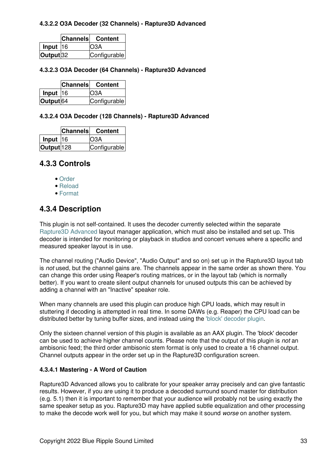### **4.3.2.2 O3A Decoder (32 Channels) - Rapture3D Advanced**

|                      | Channels Content |
|----------------------|------------------|
| $\ln$ put 16         | O <sub>3</sub> A |
| Output <sub>32</sub> | Configurable     |

### **4.3.2.3 O3A Decoder (64 Channels) - Rapture3D Advanced**

|                      | Channels Content |
|----------------------|------------------|
| Input $ 16$          | IO3A             |
| Output <sup>64</sup> | Configurable     |

### **4.3.2.4 O3A Decoder (128 Channels) - Rapture3D Advanced**

|                       | Channels Content |
|-----------------------|------------------|
| Input $ 16 $          | IO3A             |
| Output <sup>128</sup> | Configurable     |

### **4.3.3 Controls**

- [Order](#page-35-0)
- [Reload](#page-35-1)
- [Format](#page-35-2)

### **4.3.4 Description**

This plugin is not self-contained. It uses the decoder currently selected within the separate [Rapture3D Advanced](#page-5-1) layout manager application, which must also be installed and set up. This decoder is intended for monitoring or playback in studios and concert venues where a specific and measured speaker layout is in use.

The channel routing ("Audio Device", "Audio Output" and so on) set up in the Rapture3D layout tab is *not* used, but the channel gains are. The channels appear in the same order as shown there. You can change this order using Reaper's routing matrices, or in the layout tab (which is normally better). If you want to create silent output channels for unused outputs this can be achieved by adding a channel with an "Inactive" speaker role.

When many channels are used this plugin can produce high CPU loads, which may result in stuttering if decoding is attempted in real time. In some DAWs (e.g. Reaper) the CPU load can be distributed better by tuning buffer sizes, and instead using the ['block' decoder plugin.](#page-36-0)

Only the sixteen channel version of this plugin is available as an AAX plugin. The 'block' decoder can be used to achieve higher channel counts. Please note that the output of this plugin is *not* an ambisonic feed; the third order ambisonic stem format is only used to create a 16 channel output. Channel outputs appear in the order set up in the Rapture3D configuration screen.

### **4.3.4.1 Mastering - A Word of Caution**

Rapture3D Advanced allows you to calibrate for your speaker array precisely and can give fantastic results. However, if you are using it to produce a decoded surround sound master for distribution (e.g. 5.1) then it is important to remember that your audience will probably not be using exactly the same speaker setup as you. Rapture3D may have applied subtle equalization and other processing to make the decode work well for you, but which may make it sound *worse* on another system.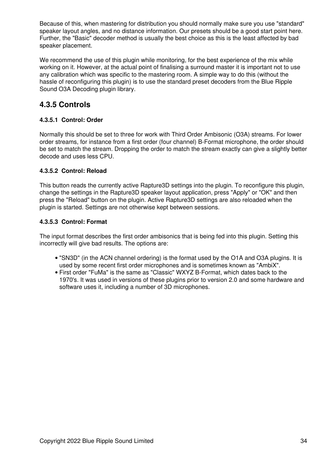Because of this, when mastering for distribution you should normally make sure you use "standard" speaker layout angles, and no distance information. Our presets should be a good start point here. Further, the "Basic" decoder method is usually the best choice as this is the least affected by bad speaker placement.

We recommend the use of this plugin while monitoring, for the best experience of the mix while working on it. However, at the actual point of finalising a surround master it is important not to use any calibration which was specific to the mastering room. A simple way to do this (without the hassle of reconfiguring this plugin) is to use the standard preset decoders from the Blue Ripple Sound O3A Decoding plugin library.

### **4.3.5 Controls**

### <span id="page-35-0"></span>**4.3.5.1 Control: Order**

Normally this should be set to three for work with Third Order Ambisonic (O3A) streams. For lower order streams, for instance from a first order (four channel) B-Format microphone, the order should be set to match the stream. Dropping the order to match the stream exactly can give a slightly better decode and uses less CPU.

### <span id="page-35-1"></span>**4.3.5.2 Control: Reload**

This button reads the currently active Rapture3D settings into the plugin. To reconfigure this plugin, change the settings in the Rapture3D speaker layout application, press "Apply" or "OK" and then press the "Reload" button on the plugin. Active Rapture3D settings are also reloaded when the plugin is started. Settings are not otherwise kept between sessions.

### <span id="page-35-2"></span>**4.3.5.3 Control: Format**

The input format describes the first order ambisonics that is being fed into this plugin. Setting this incorrectly will give bad results. The options are:

- "SN3D" (in the ACN channel ordering) is the format used by the O1A and O3A plugins. It is used by some recent first order microphones and is sometimes known as "AmbiX".
- First order "FuMa" is the same as "Classic" WXYZ B-Format, which dates back to the 1970's. It was used in versions of these plugins prior to version 2.0 and some hardware and software uses it, including a number of 3D microphones.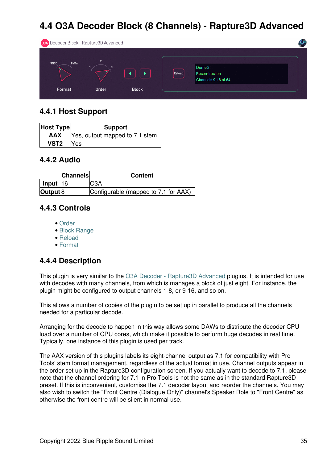# <span id="page-36-0"></span>**4.4 O3A Decoder Block (8 Channels) - Rapture3D Advanced**

| 03A Decoder Block - Rapture3D Advanced |            |              |        |                                                 |  |
|----------------------------------------|------------|--------------|--------|-------------------------------------------------|--|
| FuMa<br>SN3D<br>Format                 | 3<br>Order | <b>Block</b> | Reload | Dome 2<br>Reconstruction<br>Channels 9-16 of 64 |  |

## **4.4.1 Host Support**

| <b>Host Type</b> | <b>Support</b>                            |
|------------------|-------------------------------------------|
|                  | <b>AAX</b> Yes, output mapped to 7.1 stem |
| <b>VST2</b>      | Yes                                       |

### **4.4.2 Audio**

|                  | <b>Channels</b> | <b>Content</b>                       |
|------------------|-----------------|--------------------------------------|
| $lnput$  16      |                 | )3A                                  |
| $ $ Output $ 8 $ |                 | Configurable (mapped to 7.1 for AAX) |

### **4.4.3 Controls**

- [Order](#page-37-1)
- [Block Range](#page-37-2)
- [Reload](#page-37-3)
- [Format](#page-37-4)

## **4.4.4 Description**

This plugin is very similar to the [O3A Decoder - Rapture3D Advanced](#page-33-0) plugins. It is intended for use with decodes with many channels, from which is manages a block of just eight. For instance, the plugin might be configured to output channels 1-8, or 9-16, and so on.

This allows a number of copies of the plugin to be set up in parallel to produce all the channels needed for a particular decode.

Arranging for the decode to happen in this way allows some DAWs to distribute the decoder CPU load over a number of CPU cores, which make it possible to perform huge decodes in real time. Typically, one instance of this plugin is used per track.

The AAX version of this plugins labels its eight-channel output as 7.1 for compatibility with Pro Tools' stem format management, regardless of the actual format in use. Channel outputs appear in the order set up in the Rapture3D configuration screen. If you actually want to decode to 7.1, please note that the channel ordering for 7.1 in Pro Tools is not the same as in the standard Rapture3D preset. If this is inconvenient, customise the 7.1 decoder layout and reorder the channels. You may also wish to switch the "Front Centre (Dialogue Only)" channel's Speaker Role to "Front Centre" as otherwise the front centre will be silent in normal use.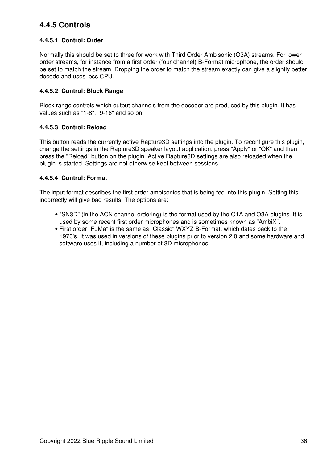## **4.4.5 Controls**

### <span id="page-37-1"></span>**4.4.5.1 Control: Order**

Normally this should be set to three for work with Third Order Ambisonic (O3A) streams. For lower order streams, for instance from a first order (four channel) B-Format microphone, the order should be set to match the stream. Dropping the order to match the stream exactly can give a slightly better decode and uses less CPU.

### <span id="page-37-2"></span>**4.4.5.2 Control: Block Range**

Block range controls which output channels from the decoder are produced by this plugin. It has values such as "1-8", "9-16" and so on.

### <span id="page-37-3"></span>**4.4.5.3 Control: Reload**

This button reads the currently active Rapture3D settings into the plugin. To reconfigure this plugin, change the settings in the Rapture3D speaker layout application, press "Apply" or "OK" and then press the "Reload" button on the plugin. Active Rapture3D settings are also reloaded when the plugin is started. Settings are not otherwise kept between sessions.

### <span id="page-37-4"></span>**4.4.5.4 Control: Format**

The input format describes the first order ambisonics that is being fed into this plugin. Setting this incorrectly will give bad results. The options are:

- "SN3D" (in the ACN channel ordering) is the format used by the O1A and O3A plugins. It is used by some recent first order microphones and is sometimes known as "AmbiX".
- <span id="page-37-0"></span>First order "FuMa" is the same as "Classic" WXYZ B-Format, which dates back to the • 1970's. It was used in versions of these plugins prior to version 2.0 and some hardware and software uses it, including a number of 3D microphones.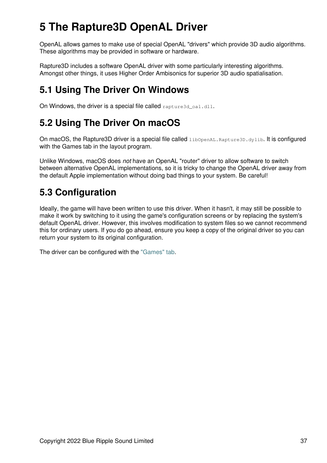# **5 The Rapture3D OpenAL Driver**

OpenAL allows games to make use of special OpenAL "drivers" which provide 3D audio algorithms. These algorithms may be provided in software or hardware.

Rapture3D includes a software OpenAL driver with some particularly interesting algorithms. Amongst other things, it uses Higher Order Ambisonics for superior 3D audio spatialisation.

# <span id="page-38-0"></span>**5.1 Using The Driver On Windows**

On Windows, the driver is a special file called rapture3d\_oa1.dll.

# <span id="page-38-1"></span>**5.2 Using The Driver On macOS**

On macOS, the Rapture3D driver is a special file called *libOpenAL.Rapture3D.dylib.* It is configured with the Games tab in the layout program.

Unlike Windows, macOS does *not* have an OpenAL "router" driver to allow software to switch between alternative OpenAL implementations, so it is tricky to change the OpenAL driver away from the default Apple implementation without doing bad things to your system. Be careful!

# <span id="page-38-2"></span>**5.3 Configuration**

Ideally, the game will have been written to use this driver. When it hasn't, it may still be possible to make it work by switching to it using the game's configuration screens or by replacing the system's default OpenAL driver. However, this involves modification to system files so we cannot recommend this for ordinary users. If you do go ahead, ensure you keep a copy of the original driver so you can return your system to its original configuration.

<span id="page-38-3"></span>The driver can be configured with the ["Games" tab.](#page-23-0)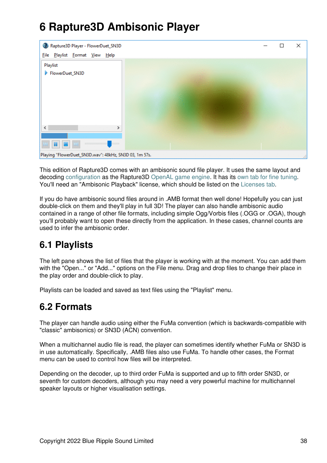# **6 Rapture3D Ambisonic Player**



This edition of Rapture3D comes with an ambisonic sound file player. It uses the same layout and decoding [configuration](#page-8-0) as the Rapture3D [OpenAL game engine](#page-37-0). It has its [own tab for fine tuning](#page-26-0). You'll need an "Ambisonic Playback" license, which should be listed on the [Licenses tab](#page-29-0).

If you do have ambisonic sound files around in .AMB format then well done! Hopefully you can just double-click on them and they'll play in full 3D! The player can also handle ambisonic audio contained in a range of other file formats, including simple Ogg/Vorbis files (.OGG or .OGA), though you'll probably want to open these directly from the application. In these cases, channel counts are used to infer the ambisonic order.

# <span id="page-39-0"></span>**6.1 Playlists**

The left pane shows the list of files that the player is working with at the moment. You can add them with the "Open..." or "Add..." options on the File menu. Drag and drop files to change their place in the play order and double-click to play.

Playlists can be loaded and saved as text files using the "Playlist" menu.

## <span id="page-39-1"></span>**6.2 Formats**

The player can handle audio using either the FuMa convention (which is backwards-compatible with "classic" ambisonics) or SN3D (ACN) convention.

When a multichannel audio file is read, the player can sometimes identify whether FuMa or SN3D is in use automatically. Specifically, .AMB files also use FuMa. To handle other cases, the Format menu can be used to control how files will be interpreted.

Depending on the decoder, up to third order FuMa is supported and up to fifth order SN3D, or seventh for custom decoders, although you may need a very powerful machine for multichannel speaker layouts or higher visualisation settings.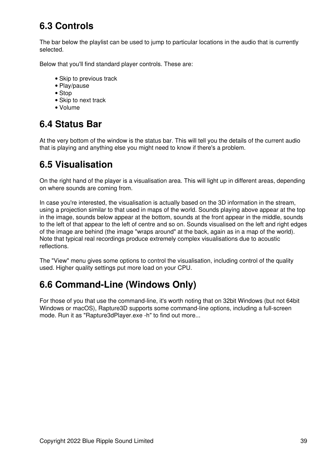# <span id="page-40-0"></span>**6.3 Controls**

The bar below the playlist can be used to jump to particular locations in the audio that is currently selected.

Below that you'll find standard player controls. These are:

- Skip to previous track
- Play/pause
- Stop
- Skip to next track
- Volume

## <span id="page-40-1"></span>**6.4 Status Bar**

At the very bottom of the window is the status bar. This will tell you the details of the current audio that is playing and anything else you might need to know if there's a problem.

## <span id="page-40-2"></span>**6.5 Visualisation**

On the right hand of the player is a visualisation area. This will light up in different areas, depending on where sounds are coming from.

In case you're interested, the visualisation is actually based on the 3D information in the stream, using a projection similar to that used in maps of the world. Sounds playing above appear at the top in the image, sounds below appear at the bottom, sounds at the front appear in the middle, sounds to the left of that appear to the left of centre and so on. Sounds visualised on the left and right edges of the image are behind (the image "wraps around" at the back, again as in a map of the world). Note that typical real recordings produce extremely complex visualisations due to acoustic reflections.

The "View" menu gives some options to control the visualisation, including control of the quality used. Higher quality settings put more load on your CPU.

## <span id="page-40-3"></span>**6.6 Command-Line (Windows Only)**

<span id="page-40-4"></span>For those of you that use the command-line, it's worth noting that on 32bit Windows (but not 64bit Windows or macOS), Rapture3D supports some command-line options, including a full-screen mode. Run it as "Rapture3dPlayer.exe -h" to find out more...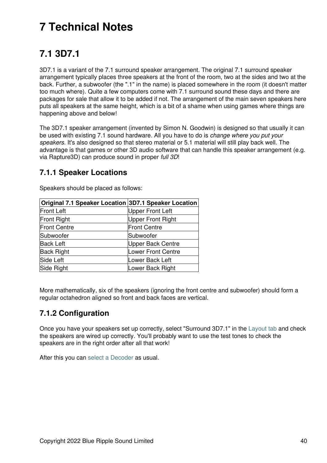# **7 Technical Notes**

# <span id="page-41-0"></span>**7.1 3D7.1**

3D7.1 is a variant of the 7.1 surround speaker arrangement. The original 7.1 surround speaker arrangement typically places three speakers at the front of the room, two at the sides and two at the back. Further, a subwoofer (the ".1" in the name) is placed somewhere in the room (it doesn't matter too much where). Quite a few computers come with 7.1 surround sound these days and there are packages for sale that allow it to be added if not. The arrangement of the main seven speakers here puts all speakers at the same height, which is a bit of a shame when using games where things are happening above and below!

The 3D7.1 speaker arrangement (invented by Simon N. Goodwin) is designed so that usually it can be used with existing 7.1 sound hardware. All you have to do is *change where you put your speakers*. It's also designed so that stereo material or 5.1 material will still play back well. The advantage is that games or other 3D audio software that can handle this speaker arrangement (e.g. via Rapture3D) can produce sound in proper *full 3D*!

### **7.1.1 Speaker Locations**

| Original 7.1 Speaker Location 3D7.1 Speaker Location |                         |
|------------------------------------------------------|-------------------------|
| <b>Front Left</b>                                    | <b>Upper Front Left</b> |
| <b>Front Right</b>                                   | Upper Front Right       |
| <b>Front Centre</b>                                  | <b>Front Centre</b>     |
| Subwoofer                                            | Subwoofer               |
| <b>Back Left</b>                                     | Upper Back Centre       |
| <b>Back Right</b>                                    | Lower Front Centre      |
| Side Left                                            | Lower Back Left         |
| Side Right                                           | Lower Back Right        |

Speakers should be placed as follows:

More mathematically, six of the speakers (ignoring the front centre and subwoofer) should form a regular octahedron aligned so front and back faces are vertical.

## **7.1.2 Configuration**

Once you have your speakers set up correctly, select "Surround 3D7.1" in the [Layout tab](#page-8-0) and check the speakers are wired up correctly. You'll probably want to use the test tones to check the speakers are in the right order after all that work!

After this you can [select a Decoder](#page-16-0) as usual.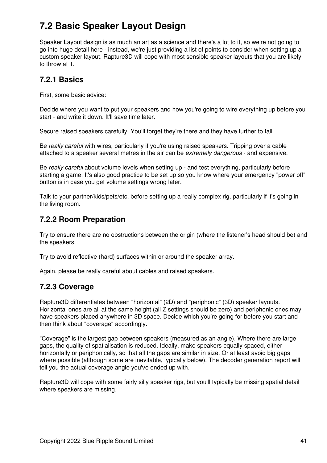# <span id="page-42-0"></span>**7.2 Basic Speaker Layout Design**

Speaker Layout design is as much an art as a science and there's a lot to it, so we're not going to go into huge detail here - instead, we're just providing a list of points to consider when setting up a custom speaker layout. Rapture3D will cope with most sensible speaker layouts that you are likely to throw at it.

### **7.2.1 Basics**

First, some basic advice:

Decide where you want to put your speakers and how you're going to wire everything up before you start - and write it down. It'll save time later.

Secure raised speakers carefully. You'll forget they're there and they have further to fall.

Be *really careful* with wires, particularly if you're using raised speakers. Tripping over a cable attached to a speaker several metres in the air can be *extremely dangerous* - and expensive.

Be *really careful* about volume levels when setting up - and test everything, particularly before starting a game. It's also good practice to be set up so you know where your emergency "power off" button is in case you get volume settings wrong later.

Talk to your partner/kids/pets/etc. before setting up a really complex rig, particularly if it's going in the living room.

### **7.2.2 Room Preparation**

Try to ensure there are no obstructions between the origin (where the listener's head should be) and the speakers.

Try to avoid reflective (hard) surfaces within or around the speaker array.

Again, please be really careful about cables and raised speakers.

### **7.2.3 Coverage**

Rapture3D differentiates between "horizontal" (2D) and "periphonic" (3D) speaker layouts. Horizontal ones are all at the same height (all Z settings should be zero) and periphonic ones may have speakers placed anywhere in 3D space. Decide which you're going for before you start and then think about "coverage" accordingly.

"Coverage" is the largest gap between speakers (measured as an angle). Where there are large gaps, the quality of spatialisation is reduced. Ideally, make speakers equally spaced, either horizontally or periphonically, so that all the gaps are similar in size. Or at least avoid big gaps where possible (although some are inevitable, typically below). The decoder generation report will tell you the actual coverage angle you've ended up with.

Rapture3D will cope with some fairly silly speaker rigs, but you'll typically be missing spatial detail where speakers are missing.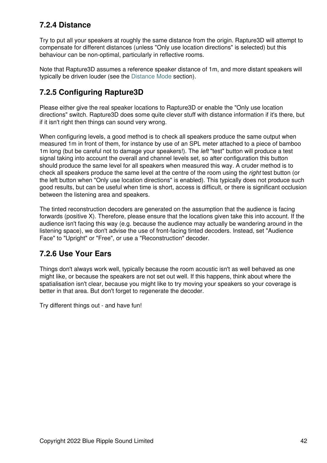## **7.2.4 Distance**

Try to put all your speakers at roughly the same distance from the origin. Rapture3D will attempt to compensate for different distances (unless "Only use location directions" is selected) but this behaviour can be non-optimal, particularly in reflective rooms.

Note that Rapture3D assumes a reference speaker distance of 1m, and more distant speakers will typically be driven louder (see the [Distance Mode](#page-8-0) section).

## **7.2.5 Configuring Rapture3D**

Please either give the real speaker locations to Rapture3D or enable the "Only use location directions" switch. Rapture3D does some quite clever stuff with distance information if it's there, but if it isn't right then things can sound very wrong.

When configuring levels, a good method is to check all speakers produce the same output when measured 1m in front of them, for instance by use of an SPL meter attached to a piece of bamboo 1m long (but be careful not to damage your speakers!). The *left* "test" button will produce a test signal taking into account the overall and channel levels set, so after configuration this button should produce the same level for all speakers when measured this way. A cruder method is to check all speakers produce the same level at the centre of the room using the *right* test button (or the left button when "Only use location directions" is enabled). This typically does not produce such good results, but can be useful when time is short, access is difficult, or there is significant occlusion between the listening area and speakers.

The tinted reconstruction decoders are generated on the assumption that the audience is facing forwards (positive X). Therefore, please ensure that the locations given take this into account. If the audience isn't facing this way (e.g. because the audience may actually be wandering around in the listening space), we don't advise the use of front-facing tinted decoders. Instead, set "Audience Face" to "Upright" or "Free", or use a "Reconstruction" decoder.

## **7.2.6 Use Your Ears**

Things don't always work well, typically because the room acoustic isn't as well behaved as one might like, or because the speakers are not set out well. If this happens, think about where the spatialisation isn't clear, because you might like to try moving your speakers so your coverage is better in that area. But don't forget to regenerate the decoder.

Try different things out - and have fun!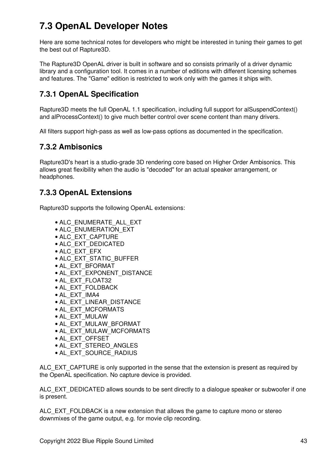# <span id="page-44-0"></span>**7.3 OpenAL Developer Notes**

Here are some technical notes for developers who might be interested in tuning their games to get the best out of Rapture3D.

The Rapture3D OpenAL driver is built in software and so consists primarily of a driver dynamic library and a configuration tool. It comes in a number of editions with different licensing schemes and features. The "Game" edition is restricted to work only with the games it ships with.

## **7.3.1 OpenAL Specification**

Rapture3D meets the full OpenAL 1.1 specification, including full support for alSuspendContext() and alProcessContext() to give much better control over scene content than many drivers.

All filters support high-pass as well as low-pass options as documented in the specification.

### **7.3.2 Ambisonics**

Rapture3D's heart is a studio-grade 3D rendering core based on Higher Order Ambisonics. This allows great flexibility when the audio is "decoded" for an actual speaker arrangement, or headphones.

## **7.3.3 OpenAL Extensions**

Rapture3D supports the following OpenAL extensions:

- ALC\_ENUMERATE\_ALL\_EXT
- ALC\_ENUMERATION\_EXT
- ALC\_EXT\_CAPTURE
- ALC\_EXT\_DEDICATED
- ALC\_EXT\_EFX
- ALC\_EXT\_STATIC\_BUFFER
- AL\_EXT\_BFORMAT
- AL\_EXT\_EXPONENT\_DISTANCE
- AL\_EXT\_FLOAT32
- AL\_EXT\_FOLDBACK
- AL\_EXT\_IMA4
- AL\_EXT\_LINEAR\_DISTANCE
- AL\_EXT\_MCFORMATS
- AL\_EXT\_MULAW
- AL\_EXT\_MULAW\_BFORMAT
- AL\_EXT\_MULAW\_MCFORMATS
- AL\_EXT\_OFFSET
- AL\_EXT\_STEREO\_ANGLES
- AL\_EXT\_SOURCE\_RADIUS

ALC\_EXT\_CAPTURE is only supported in the sense that the extension is present as required by the OpenAL specification. No capture device is provided.

ALC\_EXT\_DEDICATED allows sounds to be sent directly to a dialogue speaker or subwoofer if one is present.

ALC\_EXT\_FOLDBACK is a new extension that allows the game to capture mono or stereo downmixes of the game output, e.g. for movie clip recording.